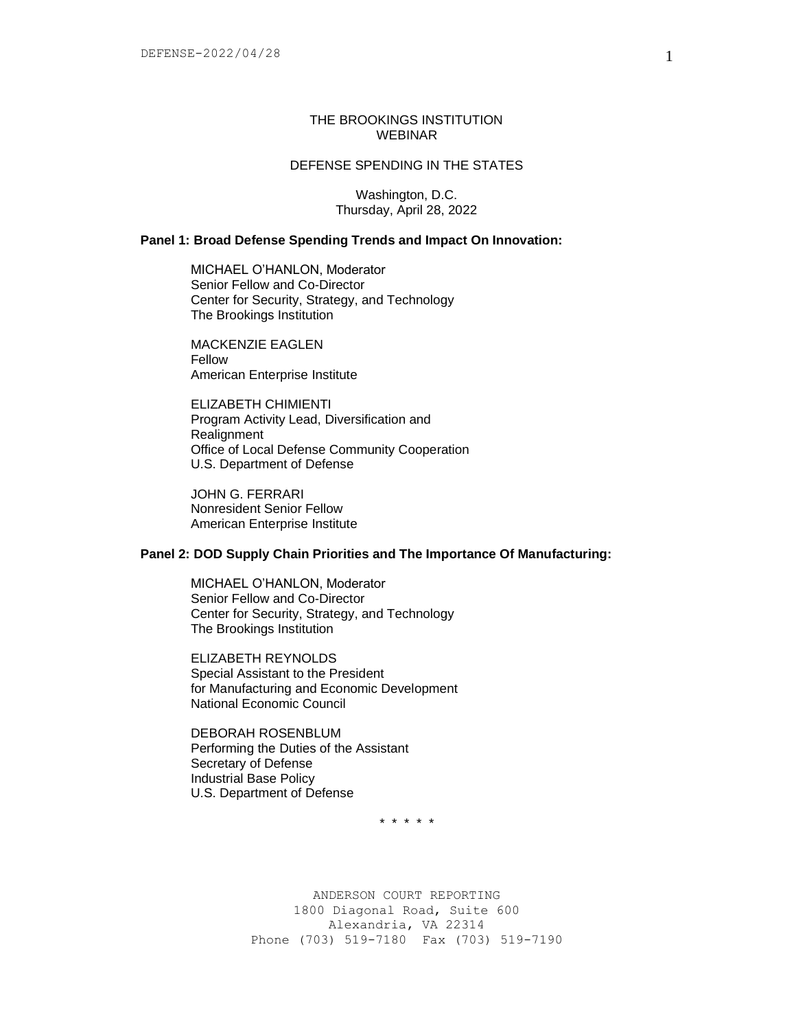## THE BROOKINGS INSTITUTION WEBINAR

# DEFENSE SPENDING IN THE STATES

Washington, D.C. Thursday, April 28, 2022

## **Panel 1: Broad Defense Spending Trends and Impact On Innovation:**

MICHAEL O'HANLON, Moderator Senior Fellow and Co-Director Center for Security, Strategy, and Technology The Brookings Institution

MACKENZIE EAGLEN Fellow American Enterprise Institute

ELIZABETH CHIMIENTI Program Activity Lead, Diversification and **Realignment** Office of Local Defense Community Cooperation U.S. Department of Defense

JOHN G. FERRARI Nonresident Senior Fellow American Enterprise Institute

# **Panel 2: DOD Supply Chain Priorities and The Importance Of Manufacturing:**

MICHAEL O'HANLON, Moderator Senior Fellow and Co-Director Center for Security, Strategy, and Technology The Brookings Institution

ELIZABETH REYNOLDS Special Assistant to the President for Manufacturing and Economic Development National Economic Council

DEBORAH ROSENBLUM Performing the Duties of the Assistant Secretary of Defense Industrial Base Policy U.S. Department of Defense

\* \* \* \* \*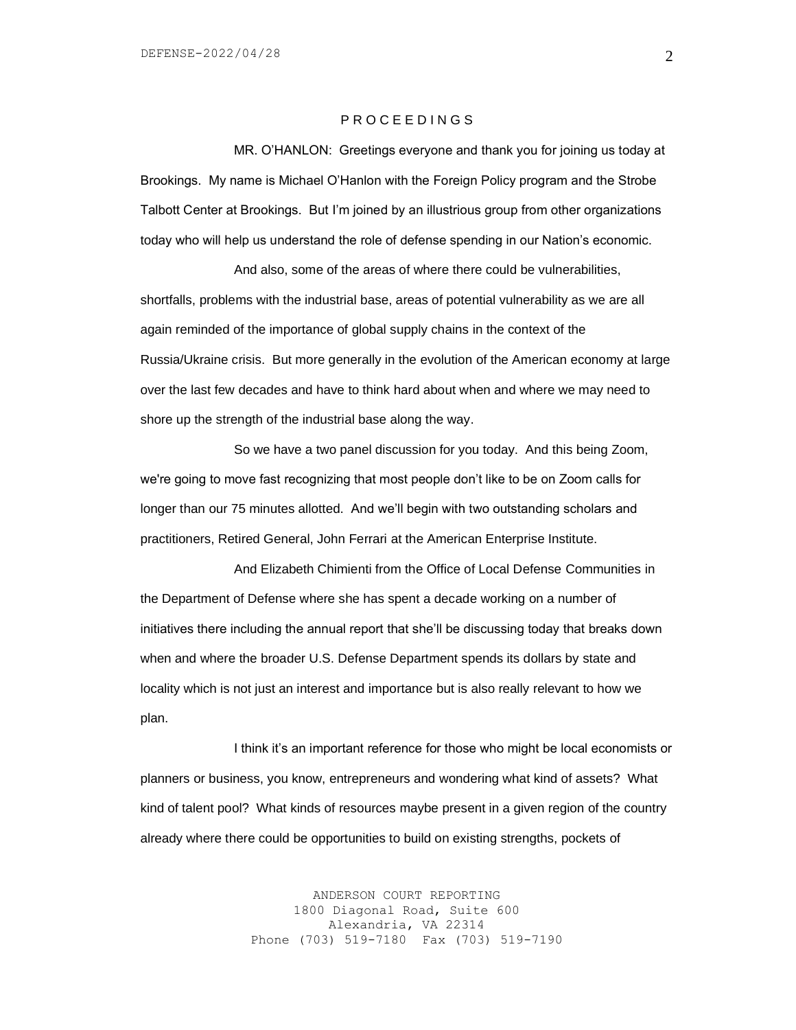### P R O C E E D I N G S

MR. O'HANLON: Greetings everyone and thank you for joining us today at Brookings. My name is Michael O'Hanlon with the Foreign Policy program and the Strobe Talbott Center at Brookings. But I'm joined by an illustrious group from other organizations today who will help us understand the role of defense spending in our Nation's economic.

And also, some of the areas of where there could be vulnerabilities, shortfalls, problems with the industrial base, areas of potential vulnerability as we are all again reminded of the importance of global supply chains in the context of the Russia/Ukraine crisis. But more generally in the evolution of the American economy at large over the last few decades and have to think hard about when and where we may need to shore up the strength of the industrial base along the way.

So we have a two panel discussion for you today. And this being Zoom, we're going to move fast recognizing that most people don't like to be on Zoom calls for longer than our 75 minutes allotted. And we'll begin with two outstanding scholars and practitioners, Retired General, John Ferrari at the American Enterprise Institute.

And Elizabeth Chimienti from the Office of Local Defense Communities in the Department of Defense where she has spent a decade working on a number of initiatives there including the annual report that she'll be discussing today that breaks down when and where the broader U.S. Defense Department spends its dollars by state and locality which is not just an interest and importance but is also really relevant to how we plan.

I think it's an important reference for those who might be local economists or planners or business, you know, entrepreneurs and wondering what kind of assets? What kind of talent pool? What kinds of resources maybe present in a given region of the country already where there could be opportunities to build on existing strengths, pockets of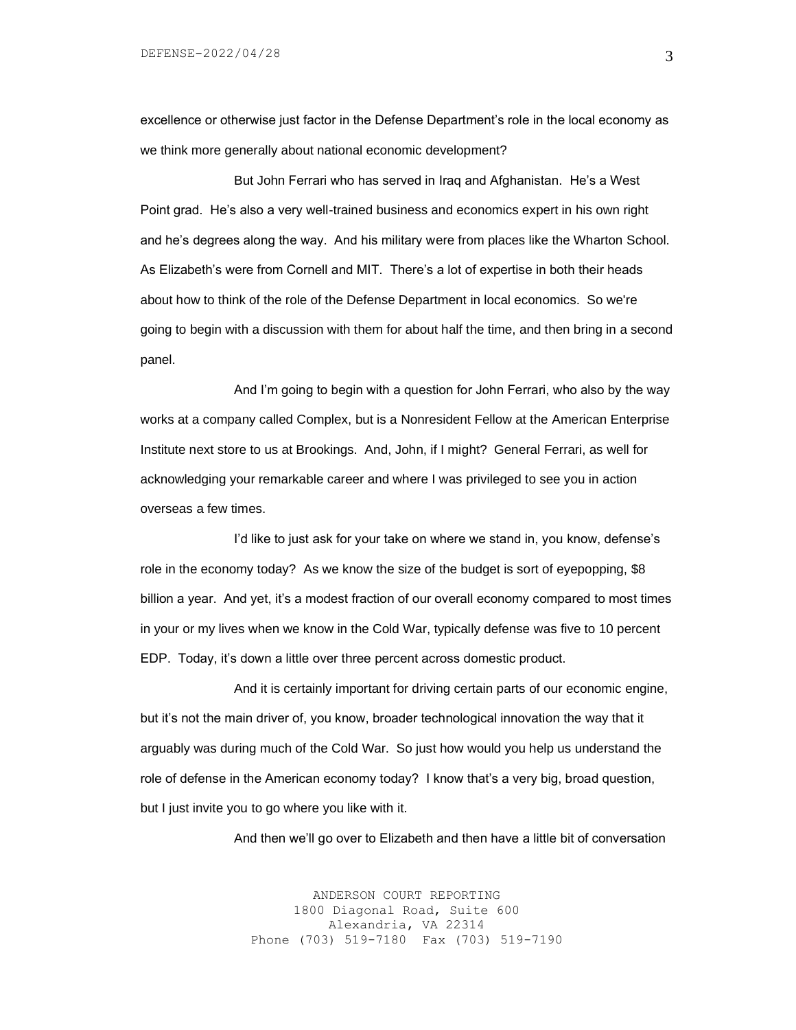excellence or otherwise just factor in the Defense Department's role in the local economy as we think more generally about national economic development?

But John Ferrari who has served in Iraq and Afghanistan. He's a West Point grad. He's also a very well-trained business and economics expert in his own right and he's degrees along the way. And his military were from places like the Wharton School. As Elizabeth's were from Cornell and MIT. There's a lot of expertise in both their heads about how to think of the role of the Defense Department in local economics. So we're going to begin with a discussion with them for about half the time, and then bring in a second panel.

And I'm going to begin with a question for John Ferrari, who also by the way works at a company called Complex, but is a Nonresident Fellow at the American Enterprise Institute next store to us at Brookings. And, John, if I might? General Ferrari, as well for acknowledging your remarkable career and where I was privileged to see you in action overseas a few times.

I'd like to just ask for your take on where we stand in, you know, defense's role in the economy today? As we know the size of the budget is sort of eyepopping, \$8 billion a year. And yet, it's a modest fraction of our overall economy compared to most times in your or my lives when we know in the Cold War, typically defense was five to 10 percent EDP. Today, it's down a little over three percent across domestic product.

And it is certainly important for driving certain parts of our economic engine, but it's not the main driver of, you know, broader technological innovation the way that it arguably was during much of the Cold War. So just how would you help us understand the role of defense in the American economy today? I know that's a very big, broad question, but I just invite you to go where you like with it.

And then we'll go over to Elizabeth and then have a little bit of conversation

ANDERSON COURT REPORTING 1800 Diagonal Road, Suite 600 Alexandria, VA 22314 Phone (703) 519-7180 Fax (703) 519-7190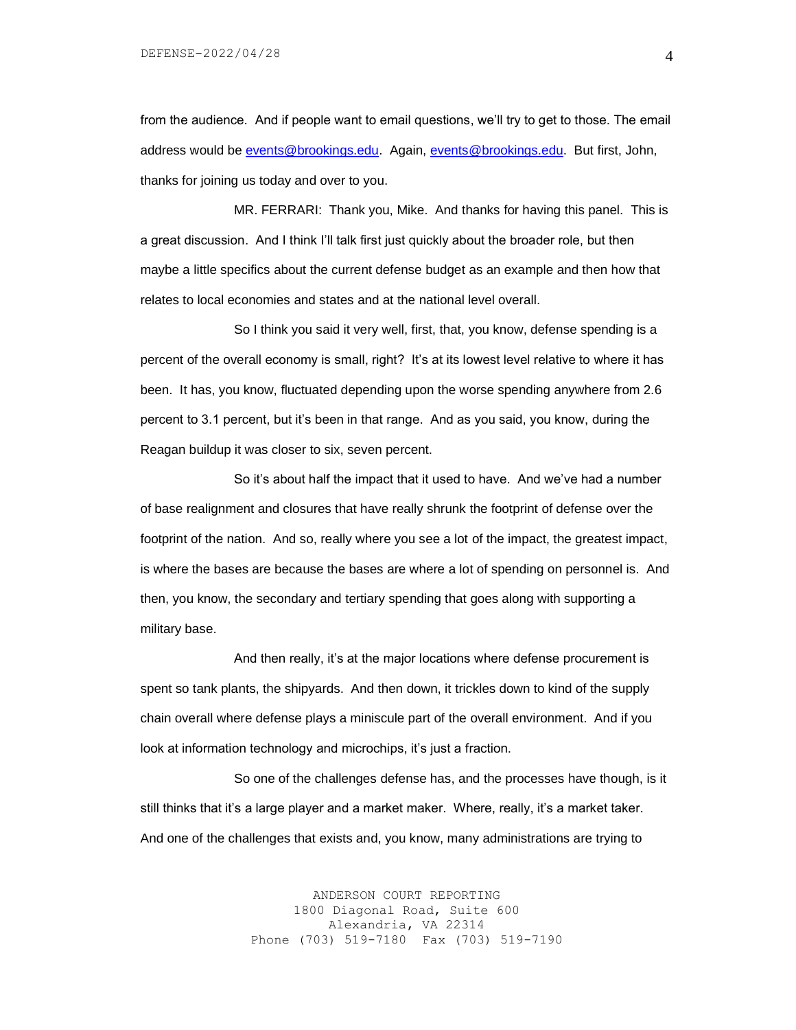from the audience. And if people want to email questions, we'll try to get to those. The email address would be [events@brookings.edu.](mailto:events@brookings.edu) Again, [events@brookings.edu.](mailto:events@brookings.edu) But first, John, thanks for joining us today and over to you.

MR. FERRARI: Thank you, Mike. And thanks for having this panel. This is a great discussion. And I think I'll talk first just quickly about the broader role, but then maybe a little specifics about the current defense budget as an example and then how that relates to local economies and states and at the national level overall.

So I think you said it very well, first, that, you know, defense spending is a percent of the overall economy is small, right? It's at its lowest level relative to where it has been. It has, you know, fluctuated depending upon the worse spending anywhere from 2.6 percent to 3.1 percent, but it's been in that range. And as you said, you know, during the Reagan buildup it was closer to six, seven percent.

So it's about half the impact that it used to have. And we've had a number of base realignment and closures that have really shrunk the footprint of defense over the footprint of the nation. And so, really where you see a lot of the impact, the greatest impact, is where the bases are because the bases are where a lot of spending on personnel is. And then, you know, the secondary and tertiary spending that goes along with supporting a military base.

And then really, it's at the major locations where defense procurement is spent so tank plants, the shipyards. And then down, it trickles down to kind of the supply chain overall where defense plays a miniscule part of the overall environment. And if you look at information technology and microchips, it's just a fraction.

So one of the challenges defense has, and the processes have though, is it still thinks that it's a large player and a market maker. Where, really, it's a market taker. And one of the challenges that exists and, you know, many administrations are trying to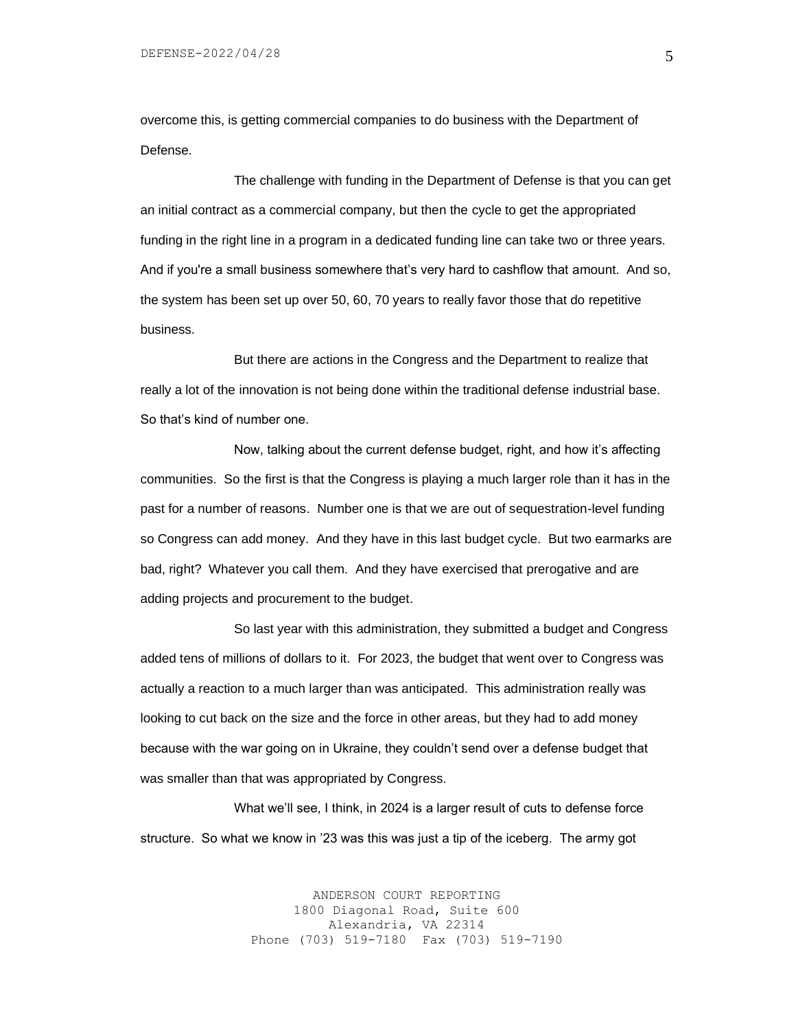overcome this, is getting commercial companies to do business with the Department of Defense.

The challenge with funding in the Department of Defense is that you can get an initial contract as a commercial company, but then the cycle to get the appropriated funding in the right line in a program in a dedicated funding line can take two or three years. And if you're a small business somewhere that's very hard to cashflow that amount. And so, the system has been set up over 50, 60, 70 years to really favor those that do repetitive business.

But there are actions in the Congress and the Department to realize that really a lot of the innovation is not being done within the traditional defense industrial base. So that's kind of number one.

Now, talking about the current defense budget, right, and how it's affecting communities. So the first is that the Congress is playing a much larger role than it has in the past for a number of reasons. Number one is that we are out of sequestration-level funding so Congress can add money. And they have in this last budget cycle. But two earmarks are bad, right? Whatever you call them. And they have exercised that prerogative and are adding projects and procurement to the budget.

So last year with this administration, they submitted a budget and Congress added tens of millions of dollars to it. For 2023, the budget that went over to Congress was actually a reaction to a much larger than was anticipated. This administration really was looking to cut back on the size and the force in other areas, but they had to add money because with the war going on in Ukraine, they couldn't send over a defense budget that was smaller than that was appropriated by Congress.

What we'll see, I think, in 2024 is a larger result of cuts to defense force structure. So what we know in '23 was this was just a tip of the iceberg. The army got

> ANDERSON COURT REPORTING 1800 Diagonal Road, Suite 600 Alexandria, VA 22314 Phone (703) 519-7180 Fax (703) 519-7190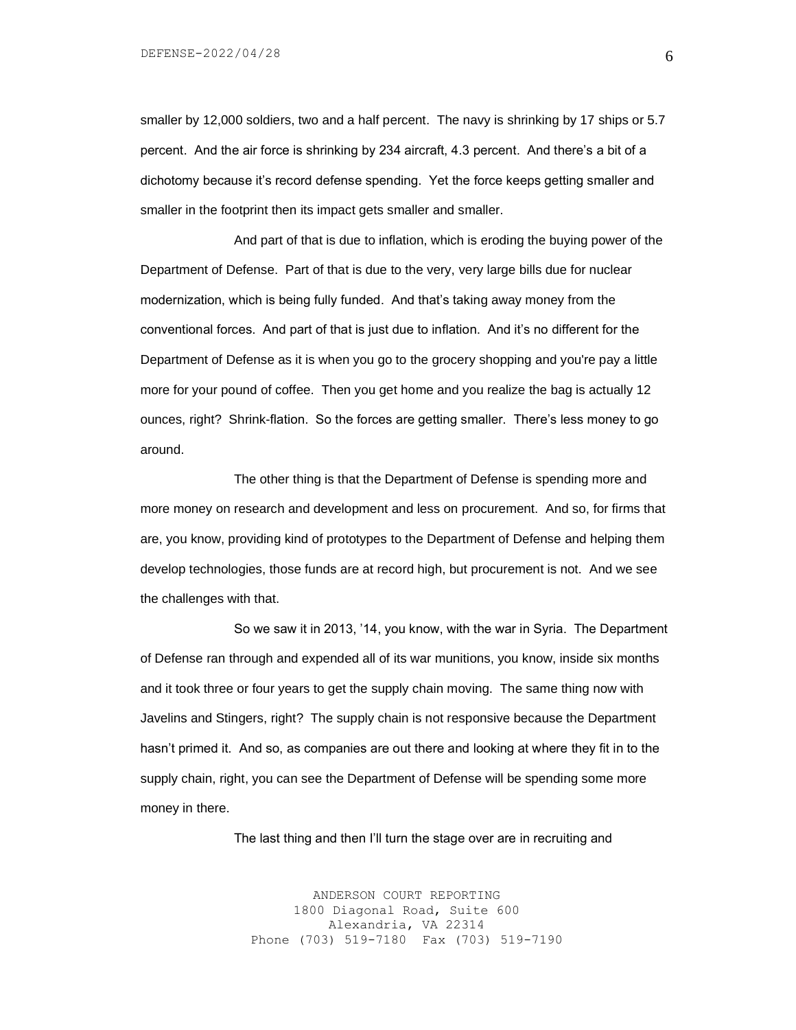smaller by 12,000 soldiers, two and a half percent. The navy is shrinking by 17 ships or 5.7 percent. And the air force is shrinking by 234 aircraft, 4.3 percent. And there's a bit of a dichotomy because it's record defense spending. Yet the force keeps getting smaller and smaller in the footprint then its impact gets smaller and smaller.

And part of that is due to inflation, which is eroding the buying power of the Department of Defense. Part of that is due to the very, very large bills due for nuclear modernization, which is being fully funded. And that's taking away money from the conventional forces. And part of that is just due to inflation. And it's no different for the Department of Defense as it is when you go to the grocery shopping and you're pay a little more for your pound of coffee. Then you get home and you realize the bag is actually 12 ounces, right? Shrink-flation. So the forces are getting smaller. There's less money to go around.

The other thing is that the Department of Defense is spending more and more money on research and development and less on procurement. And so, for firms that are, you know, providing kind of prototypes to the Department of Defense and helping them develop technologies, those funds are at record high, but procurement is not. And we see the challenges with that.

So we saw it in 2013, '14, you know, with the war in Syria. The Department of Defense ran through and expended all of its war munitions, you know, inside six months and it took three or four years to get the supply chain moving. The same thing now with Javelins and Stingers, right? The supply chain is not responsive because the Department hasn't primed it. And so, as companies are out there and looking at where they fit in to the supply chain, right, you can see the Department of Defense will be spending some more money in there.

The last thing and then I'll turn the stage over are in recruiting and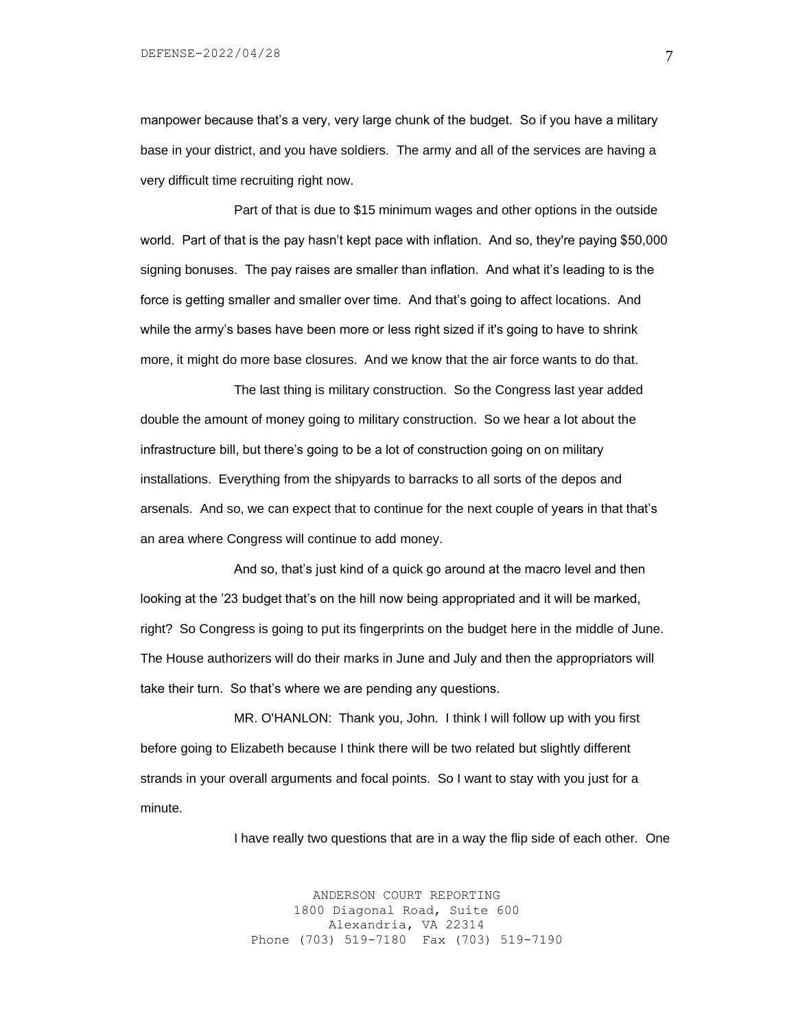manpower because that's a very, very large chunk of the budget. So if you have a military base in your district, and you have soldiers. The army and all of the services are having a very difficult time recruiting right now.

Part of that is due to \$15 minimum wages and other options in the outside world. Part of that is the pay hasn't kept pace with inflation. And so, they're paying \$50,000 signing bonuses. The pay raises are smaller than inflation. And what it's leading to is the force is getting smaller and smaller over time. And that's going to affect locations. And while the army's bases have been more or less right sized if it's going to have to shrink more, it might do more base closures. And we know that the air force wants to do that.

The last thing is military construction. So the Congress last year added double the amount of money going to military construction. So we hear a lot about the infrastructure bill, but there's going to be a lot of construction going on on military installations. Everything from the shipyards to barracks to all sorts of the depos and arsenals. And so, we can expect that to continue for the next couple of years in that that's an area where Congress will continue to add money.

And so, that's just kind of a quick go around at the macro level and then looking at the '23 budget that's on the hill now being appropriated and it will be marked, right? So Congress is going to put its fingerprints on the budget here in the middle of June. The House authorizers will do their marks in June and July and then the appropriators will take their turn. So that's where we are pending any questions.

MR. O'HANLON: Thank you, John. I think I will follow up with you first before going to Elizabeth because I think there will be two related but slightly different strands in your overall arguments and focal points. So I want to stay with you just for a minute.

I have really two questions that are in a way the flip side of each other. One

ANDERSON COURT REPORTING 1800 Diagonal Road, Suite 600 Alexandria, VA 22314 Phone (703) 519-7180 Fax (703) 519-7190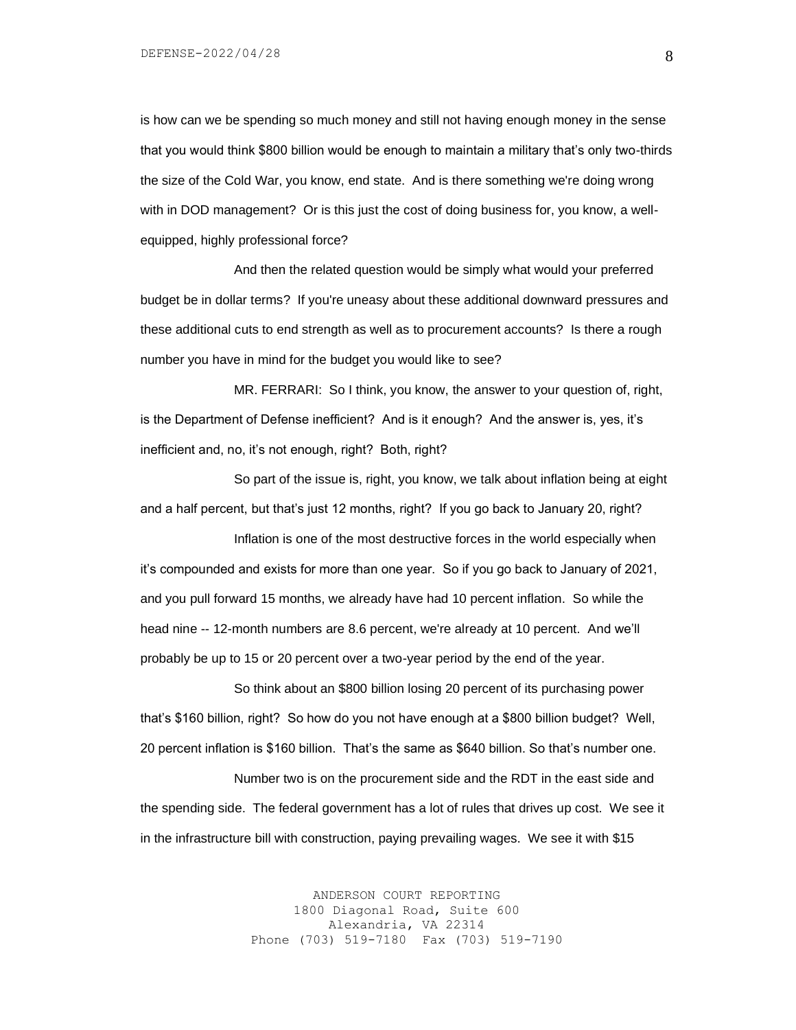DEFENSE-2022/04/28

is how can we be spending so much money and still not having enough money in the sense that you would think \$800 billion would be enough to maintain a military that's only two-thirds the size of the Cold War, you know, end state. And is there something we're doing wrong with in DOD management? Or is this just the cost of doing business for, you know, a wellequipped, highly professional force?

And then the related question would be simply what would your preferred budget be in dollar terms? If you're uneasy about these additional downward pressures and these additional cuts to end strength as well as to procurement accounts? Is there a rough number you have in mind for the budget you would like to see?

MR. FERRARI: So I think, you know, the answer to your question of, right, is the Department of Defense inefficient? And is it enough? And the answer is, yes, it's inefficient and, no, it's not enough, right? Both, right?

So part of the issue is, right, you know, we talk about inflation being at eight and a half percent, but that's just 12 months, right? If you go back to January 20, right?

Inflation is one of the most destructive forces in the world especially when it's compounded and exists for more than one year. So if you go back to January of 2021, and you pull forward 15 months, we already have had 10 percent inflation. So while the head nine -- 12-month numbers are 8.6 percent, we're already at 10 percent. And we'll probably be up to 15 or 20 percent over a two-year period by the end of the year.

So think about an \$800 billion losing 20 percent of its purchasing power that's \$160 billion, right? So how do you not have enough at a \$800 billion budget? Well, 20 percent inflation is \$160 billion. That's the same as \$640 billion. So that's number one.

Number two is on the procurement side and the RDT in the east side and the spending side. The federal government has a lot of rules that drives up cost. We see it in the infrastructure bill with construction, paying prevailing wages. We see it with \$15

> ANDERSON COURT REPORTING 1800 Diagonal Road, Suite 600 Alexandria, VA 22314 Phone (703) 519-7180 Fax (703) 519-7190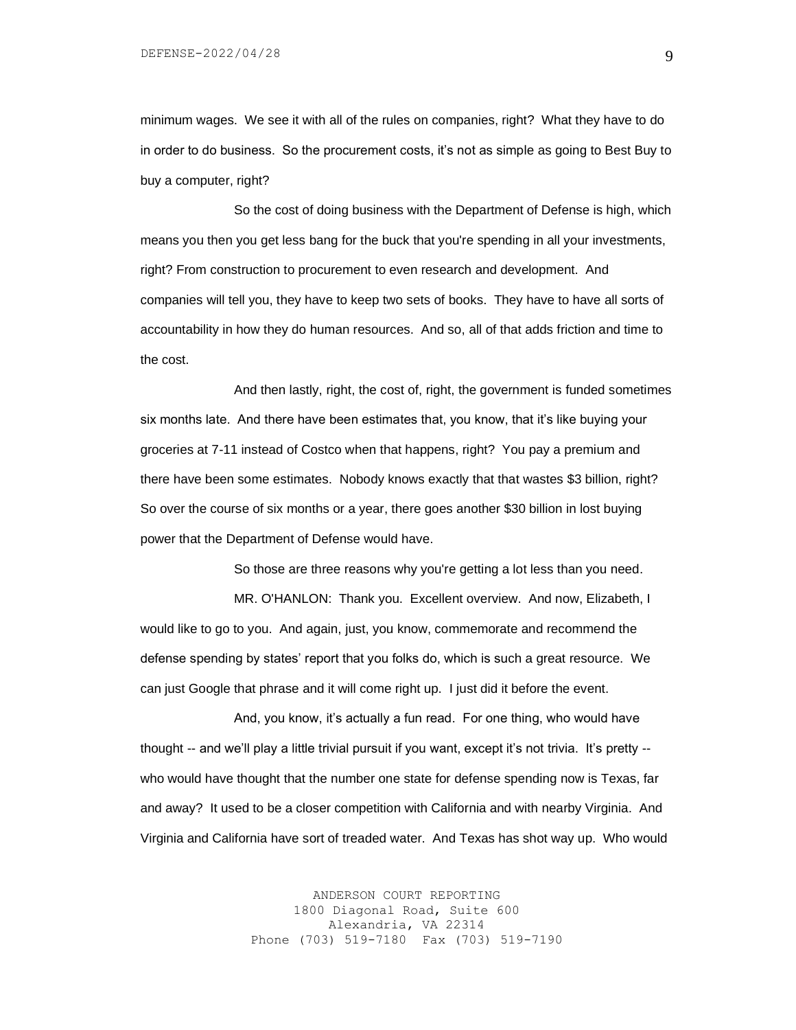minimum wages. We see it with all of the rules on companies, right? What they have to do in order to do business. So the procurement costs, it's not as simple as going to Best Buy to buy a computer, right?

So the cost of doing business with the Department of Defense is high, which means you then you get less bang for the buck that you're spending in all your investments, right? From construction to procurement to even research and development. And companies will tell you, they have to keep two sets of books. They have to have all sorts of accountability in how they do human resources. And so, all of that adds friction and time to the cost.

And then lastly, right, the cost of, right, the government is funded sometimes six months late. And there have been estimates that, you know, that it's like buying your groceries at 7-11 instead of Costco when that happens, right? You pay a premium and there have been some estimates. Nobody knows exactly that that wastes \$3 billion, right? So over the course of six months or a year, there goes another \$30 billion in lost buying power that the Department of Defense would have.

So those are three reasons why you're getting a lot less than you need.

MR. O'HANLON: Thank you. Excellent overview. And now, Elizabeth, I would like to go to you. And again, just, you know, commemorate and recommend the defense spending by states' report that you folks do, which is such a great resource. We can just Google that phrase and it will come right up. I just did it before the event.

And, you know, it's actually a fun read. For one thing, who would have thought -- and we'll play a little trivial pursuit if you want, except it's not trivia. It's pretty - who would have thought that the number one state for defense spending now is Texas, far and away? It used to be a closer competition with California and with nearby Virginia. And Virginia and California have sort of treaded water. And Texas has shot way up. Who would

> ANDERSON COURT REPORTING 1800 Diagonal Road, Suite 600 Alexandria, VA 22314 Phone (703) 519-7180 Fax (703) 519-7190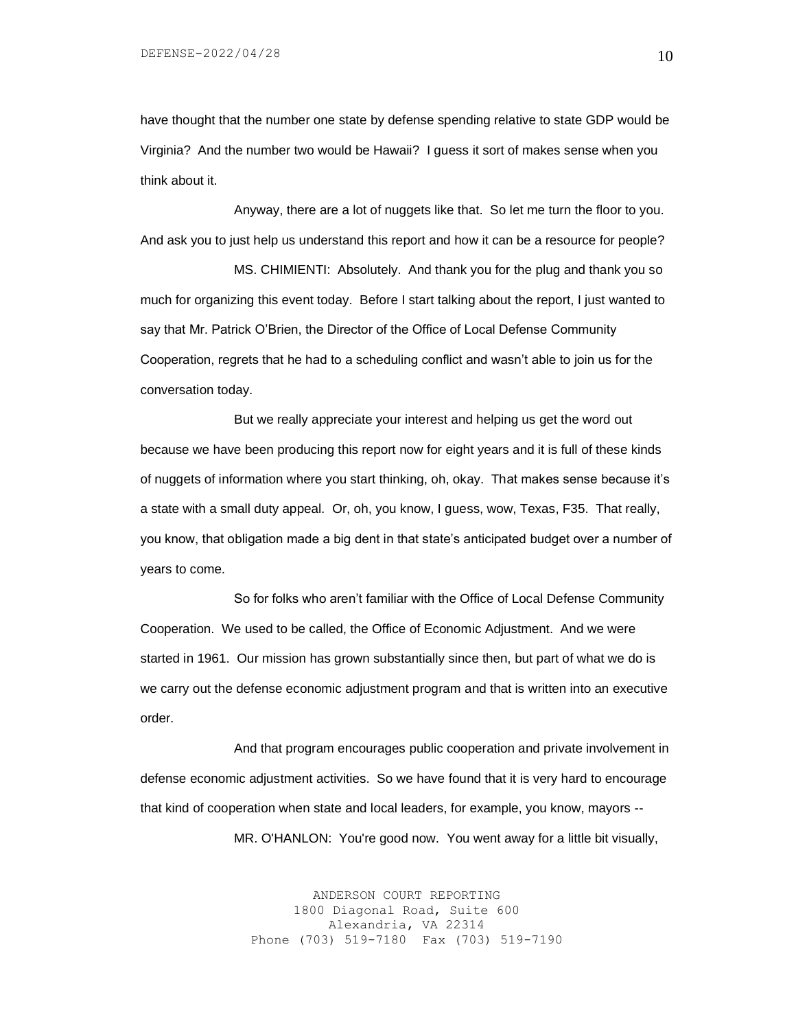have thought that the number one state by defense spending relative to state GDP would be Virginia? And the number two would be Hawaii? I guess it sort of makes sense when you think about it.

Anyway, there are a lot of nuggets like that. So let me turn the floor to you. And ask you to just help us understand this report and how it can be a resource for people?

MS. CHIMIENTI: Absolutely. And thank you for the plug and thank you so much for organizing this event today. Before I start talking about the report, I just wanted to say that Mr. Patrick O'Brien, the Director of the Office of Local Defense Community Cooperation, regrets that he had to a scheduling conflict and wasn't able to join us for the conversation today.

But we really appreciate your interest and helping us get the word out because we have been producing this report now for eight years and it is full of these kinds of nuggets of information where you start thinking, oh, okay. That makes sense because it's a state with a small duty appeal. Or, oh, you know, I guess, wow, Texas, F35. That really, you know, that obligation made a big dent in that state's anticipated budget over a number of years to come.

So for folks who aren't familiar with the Office of Local Defense Community Cooperation. We used to be called, the Office of Economic Adjustment. And we were started in 1961. Our mission has grown substantially since then, but part of what we do is we carry out the defense economic adjustment program and that is written into an executive order.

And that program encourages public cooperation and private involvement in defense economic adjustment activities. So we have found that it is very hard to encourage that kind of cooperation when state and local leaders, for example, you know, mayors --

MR. O'HANLON: You're good now. You went away for a little bit visually,

ANDERSON COURT REPORTING 1800 Diagonal Road, Suite 600 Alexandria, VA 22314 Phone (703) 519-7180 Fax (703) 519-7190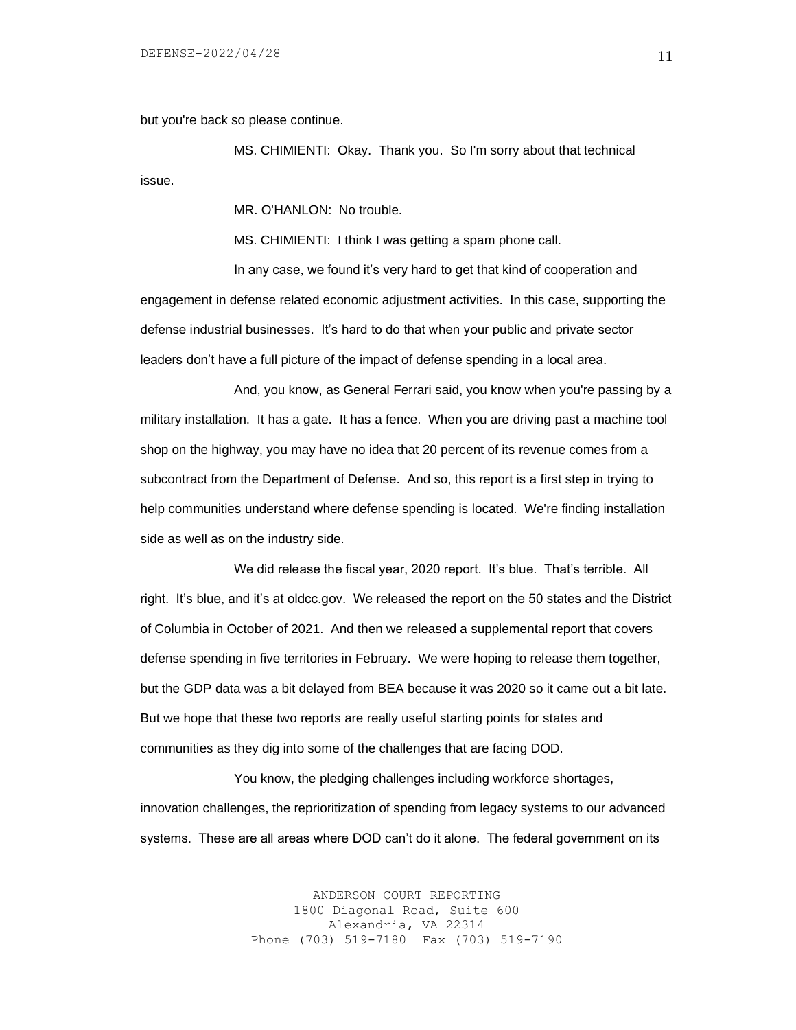but you're back so please continue.

MS. CHIMIENTI: Okay. Thank you. So I'm sorry about that technical issue.

MR. O'HANLON: No trouble.

MS. CHIMIENTI: I think I was getting a spam phone call.

In any case, we found it's very hard to get that kind of cooperation and engagement in defense related economic adjustment activities. In this case, supporting the defense industrial businesses. It's hard to do that when your public and private sector leaders don't have a full picture of the impact of defense spending in a local area.

And, you know, as General Ferrari said, you know when you're passing by a military installation. It has a gate. It has a fence. When you are driving past a machine tool shop on the highway, you may have no idea that 20 percent of its revenue comes from a subcontract from the Department of Defense. And so, this report is a first step in trying to help communities understand where defense spending is located. We're finding installation side as well as on the industry side.

We did release the fiscal year, 2020 report. It's blue. That's terrible. All right. It's blue, and it's at oldcc.gov. We released the report on the 50 states and the District of Columbia in October of 2021. And then we released a supplemental report that covers defense spending in five territories in February. We were hoping to release them together, but the GDP data was a bit delayed from BEA because it was 2020 so it came out a bit late. But we hope that these two reports are really useful starting points for states and communities as they dig into some of the challenges that are facing DOD.

You know, the pledging challenges including workforce shortages, innovation challenges, the reprioritization of spending from legacy systems to our advanced systems. These are all areas where DOD can't do it alone. The federal government on its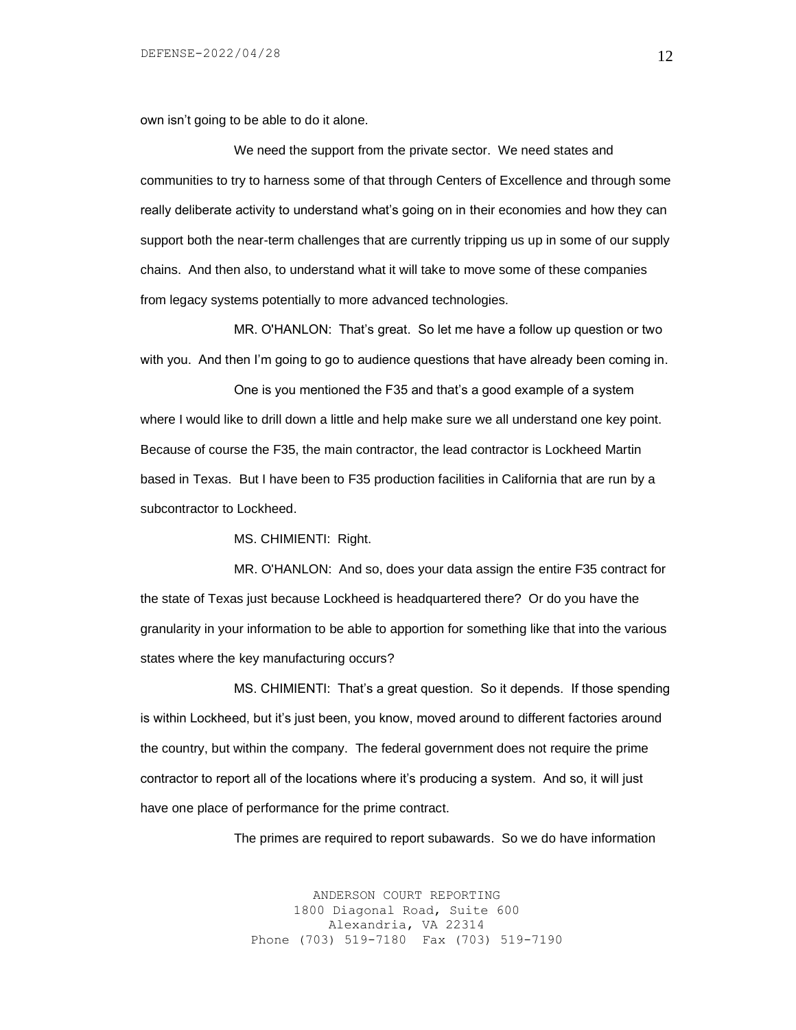own isn't going to be able to do it alone.

We need the support from the private sector. We need states and communities to try to harness some of that through Centers of Excellence and through some really deliberate activity to understand what's going on in their economies and how they can support both the near-term challenges that are currently tripping us up in some of our supply chains. And then also, to understand what it will take to move some of these companies from legacy systems potentially to more advanced technologies.

MR. O'HANLON: That's great. So let me have a follow up question or two with you. And then I'm going to go to audience questions that have already been coming in.

One is you mentioned the F35 and that's a good example of a system where I would like to drill down a little and help make sure we all understand one key point. Because of course the F35, the main contractor, the lead contractor is Lockheed Martin based in Texas. But I have been to F35 production facilities in California that are run by a subcontractor to Lockheed.

MS. CHIMIENTI: Right.

MR. O'HANLON: And so, does your data assign the entire F35 contract for the state of Texas just because Lockheed is headquartered there? Or do you have the granularity in your information to be able to apportion for something like that into the various states where the key manufacturing occurs?

MS. CHIMIENTI: That's a great question. So it depends. If those spending is within Lockheed, but it's just been, you know, moved around to different factories around the country, but within the company. The federal government does not require the prime contractor to report all of the locations where it's producing a system. And so, it will just have one place of performance for the prime contract.

The primes are required to report subawards. So we do have information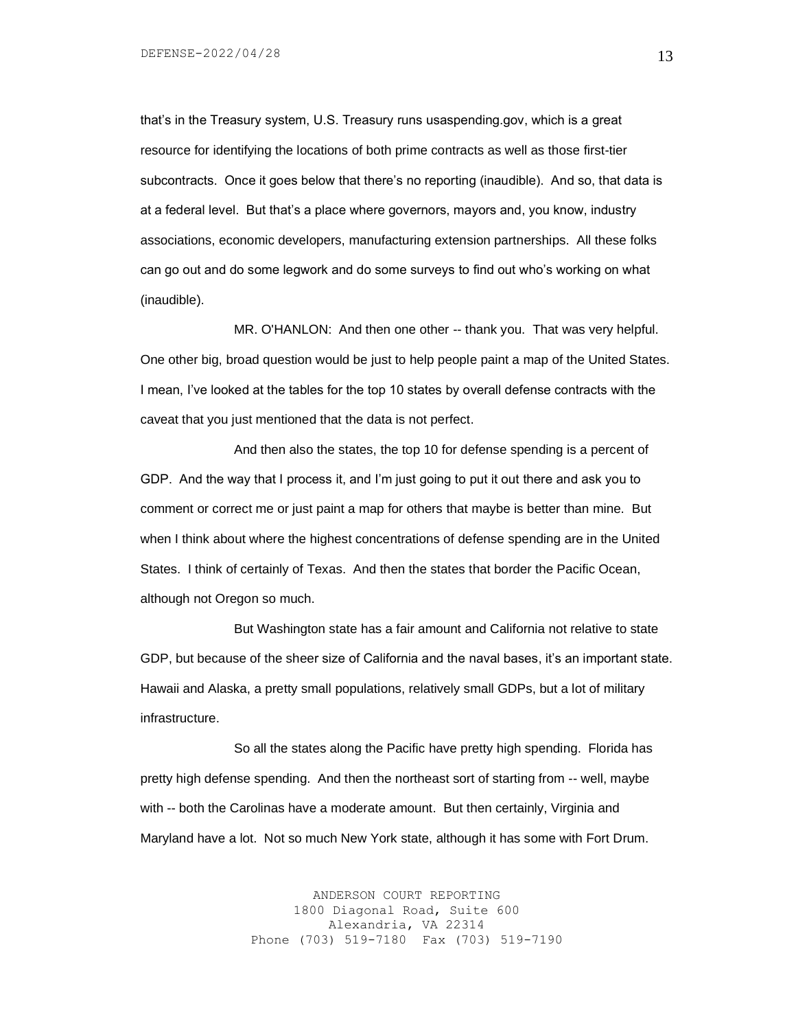that's in the Treasury system, U.S. Treasury runs usaspending.gov, which is a great resource for identifying the locations of both prime contracts as well as those first-tier subcontracts. Once it goes below that there's no reporting (inaudible). And so, that data is at a federal level. But that's a place where governors, mayors and, you know, industry associations, economic developers, manufacturing extension partnerships. All these folks can go out and do some legwork and do some surveys to find out who's working on what (inaudible).

MR. O'HANLON: And then one other -- thank you. That was very helpful. One other big, broad question would be just to help people paint a map of the United States. I mean, I've looked at the tables for the top 10 states by overall defense contracts with the caveat that you just mentioned that the data is not perfect.

And then also the states, the top 10 for defense spending is a percent of GDP. And the way that I process it, and I'm just going to put it out there and ask you to comment or correct me or just paint a map for others that maybe is better than mine. But when I think about where the highest concentrations of defense spending are in the United States. I think of certainly of Texas. And then the states that border the Pacific Ocean, although not Oregon so much.

But Washington state has a fair amount and California not relative to state GDP, but because of the sheer size of California and the naval bases, it's an important state. Hawaii and Alaska, a pretty small populations, relatively small GDPs, but a lot of military infrastructure.

So all the states along the Pacific have pretty high spending. Florida has pretty high defense spending. And then the northeast sort of starting from -- well, maybe with -- both the Carolinas have a moderate amount. But then certainly, Virginia and Maryland have a lot. Not so much New York state, although it has some with Fort Drum.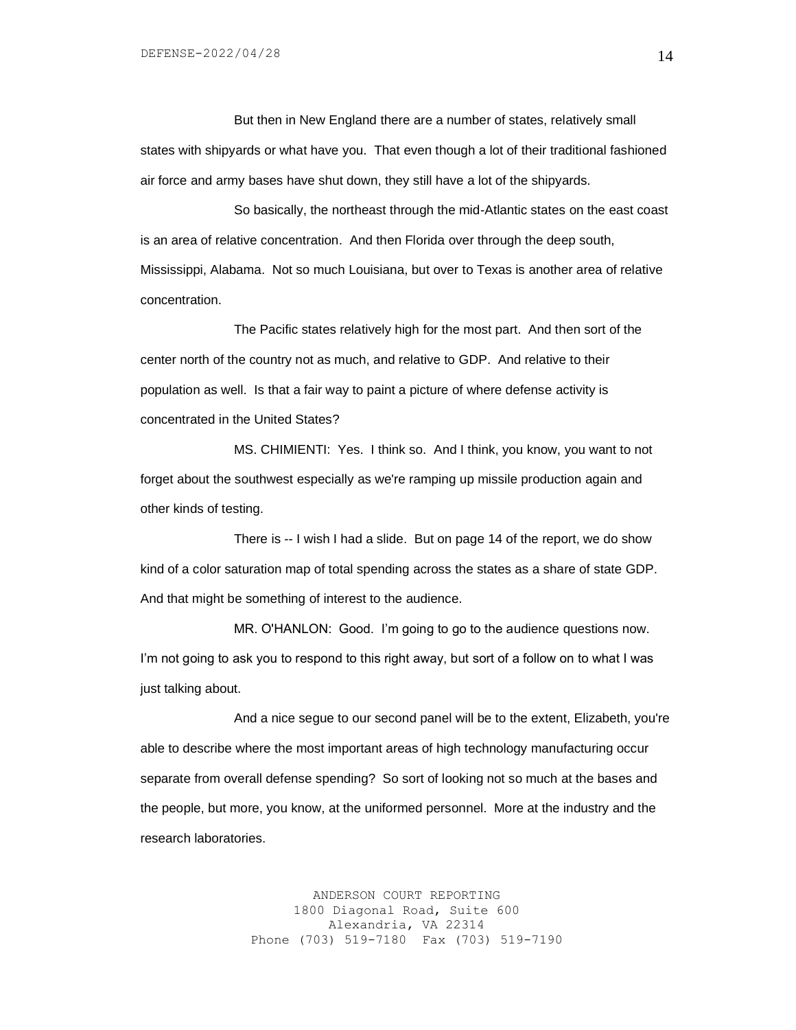But then in New England there are a number of states, relatively small states with shipyards or what have you. That even though a lot of their traditional fashioned air force and army bases have shut down, they still have a lot of the shipyards.

So basically, the northeast through the mid-Atlantic states on the east coast is an area of relative concentration. And then Florida over through the deep south, Mississippi, Alabama. Not so much Louisiana, but over to Texas is another area of relative concentration.

The Pacific states relatively high for the most part. And then sort of the center north of the country not as much, and relative to GDP. And relative to their population as well. Is that a fair way to paint a picture of where defense activity is concentrated in the United States?

MS. CHIMIENTI: Yes. I think so. And I think, you know, you want to not forget about the southwest especially as we're ramping up missile production again and other kinds of testing.

There is -- I wish I had a slide. But on page 14 of the report, we do show kind of a color saturation map of total spending across the states as a share of state GDP. And that might be something of interest to the audience.

MR. O'HANLON: Good. I'm going to go to the audience questions now. I'm not going to ask you to respond to this right away, but sort of a follow on to what I was just talking about.

And a nice segue to our second panel will be to the extent, Elizabeth, you're able to describe where the most important areas of high technology manufacturing occur separate from overall defense spending? So sort of looking not so much at the bases and the people, but more, you know, at the uniformed personnel. More at the industry and the research laboratories.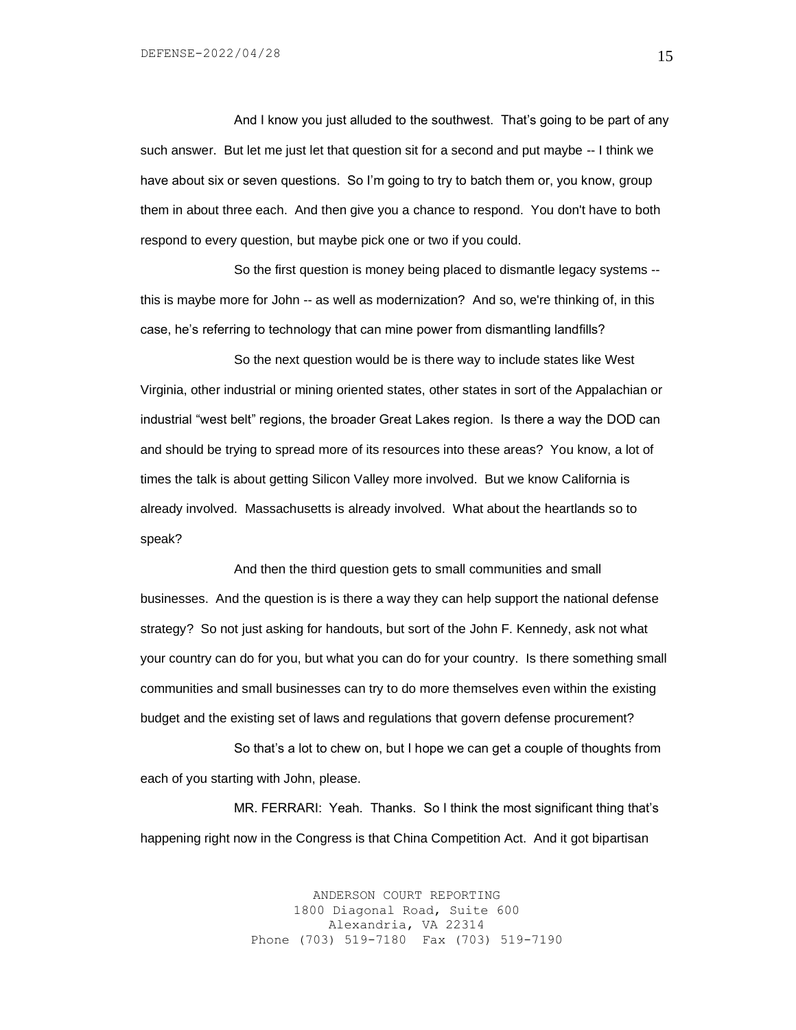And I know you just alluded to the southwest. That's going to be part of any such answer. But let me just let that question sit for a second and put maybe -- I think we have about six or seven questions. So I'm going to try to batch them or, you know, group them in about three each. And then give you a chance to respond. You don't have to both respond to every question, but maybe pick one or two if you could.

So the first question is money being placed to dismantle legacy systems - this is maybe more for John -- as well as modernization? And so, we're thinking of, in this case, he's referring to technology that can mine power from dismantling landfills?

So the next question would be is there way to include states like West Virginia, other industrial or mining oriented states, other states in sort of the Appalachian or industrial "west belt" regions, the broader Great Lakes region. Is there a way the DOD can and should be trying to spread more of its resources into these areas? You know, a lot of times the talk is about getting Silicon Valley more involved. But we know California is already involved. Massachusetts is already involved. What about the heartlands so to speak?

And then the third question gets to small communities and small businesses. And the question is is there a way they can help support the national defense strategy? So not just asking for handouts, but sort of the John F. Kennedy, ask not what your country can do for you, but what you can do for your country. Is there something small communities and small businesses can try to do more themselves even within the existing budget and the existing set of laws and regulations that govern defense procurement?

So that's a lot to chew on, but I hope we can get a couple of thoughts from each of you starting with John, please.

MR. FERRARI: Yeah. Thanks. So I think the most significant thing that's happening right now in the Congress is that China Competition Act. And it got bipartisan

> ANDERSON COURT REPORTING 1800 Diagonal Road, Suite 600 Alexandria, VA 22314 Phone (703) 519-7180 Fax (703) 519-7190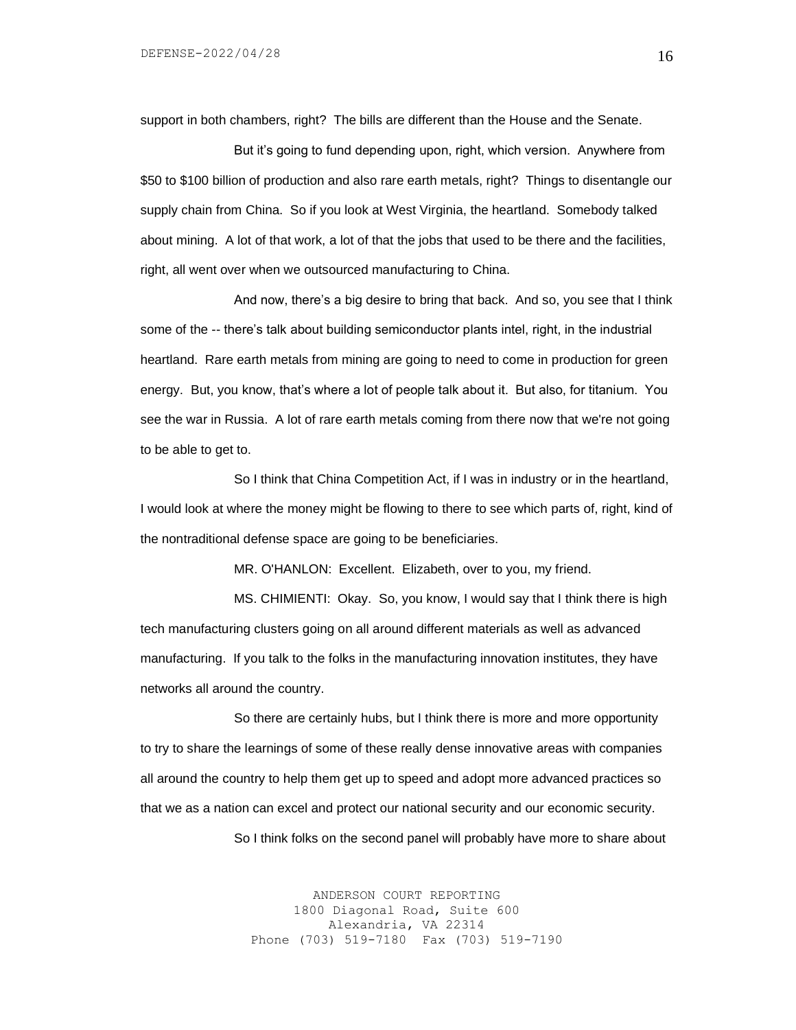support in both chambers, right? The bills are different than the House and the Senate.

But it's going to fund depending upon, right, which version. Anywhere from \$50 to \$100 billion of production and also rare earth metals, right? Things to disentangle our supply chain from China. So if you look at West Virginia, the heartland. Somebody talked about mining. A lot of that work, a lot of that the jobs that used to be there and the facilities, right, all went over when we outsourced manufacturing to China.

And now, there's a big desire to bring that back. And so, you see that I think some of the -- there's talk about building semiconductor plants intel, right, in the industrial heartland. Rare earth metals from mining are going to need to come in production for green energy. But, you know, that's where a lot of people talk about it. But also, for titanium. You see the war in Russia. A lot of rare earth metals coming from there now that we're not going to be able to get to.

So I think that China Competition Act, if I was in industry or in the heartland, I would look at where the money might be flowing to there to see which parts of, right, kind of the nontraditional defense space are going to be beneficiaries.

MR. O'HANLON: Excellent. Elizabeth, over to you, my friend.

MS. CHIMIENTI: Okay. So, you know, I would say that I think there is high tech manufacturing clusters going on all around different materials as well as advanced manufacturing. If you talk to the folks in the manufacturing innovation institutes, they have networks all around the country.

So there are certainly hubs, but I think there is more and more opportunity to try to share the learnings of some of these really dense innovative areas with companies all around the country to help them get up to speed and adopt more advanced practices so that we as a nation can excel and protect our national security and our economic security.

So I think folks on the second panel will probably have more to share about

ANDERSON COURT REPORTING 1800 Diagonal Road, Suite 600 Alexandria, VA 22314 Phone (703) 519-7180 Fax (703) 519-7190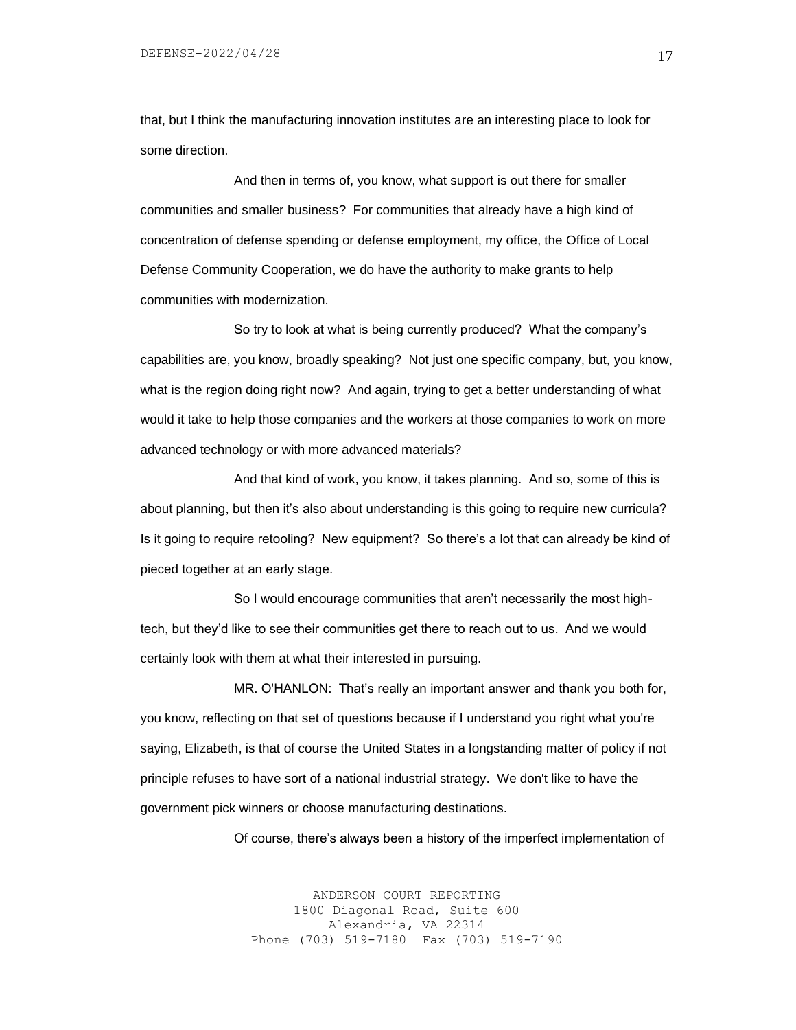that, but I think the manufacturing innovation institutes are an interesting place to look for some direction.

And then in terms of, you know, what support is out there for smaller communities and smaller business? For communities that already have a high kind of concentration of defense spending or defense employment, my office, the Office of Local Defense Community Cooperation, we do have the authority to make grants to help communities with modernization.

So try to look at what is being currently produced? What the company's capabilities are, you know, broadly speaking? Not just one specific company, but, you know, what is the region doing right now? And again, trying to get a better understanding of what would it take to help those companies and the workers at those companies to work on more advanced technology or with more advanced materials?

And that kind of work, you know, it takes planning. And so, some of this is about planning, but then it's also about understanding is this going to require new curricula? Is it going to require retooling? New equipment? So there's a lot that can already be kind of pieced together at an early stage.

So I would encourage communities that aren't necessarily the most hightech, but they'd like to see their communities get there to reach out to us. And we would certainly look with them at what their interested in pursuing.

MR. O'HANLON: That's really an important answer and thank you both for, you know, reflecting on that set of questions because if I understand you right what you're saying, Elizabeth, is that of course the United States in a longstanding matter of policy if not principle refuses to have sort of a national industrial strategy. We don't like to have the government pick winners or choose manufacturing destinations.

Of course, there's always been a history of the imperfect implementation of

ANDERSON COURT REPORTING 1800 Diagonal Road, Suite 600 Alexandria, VA 22314 Phone (703) 519-7180 Fax (703) 519-7190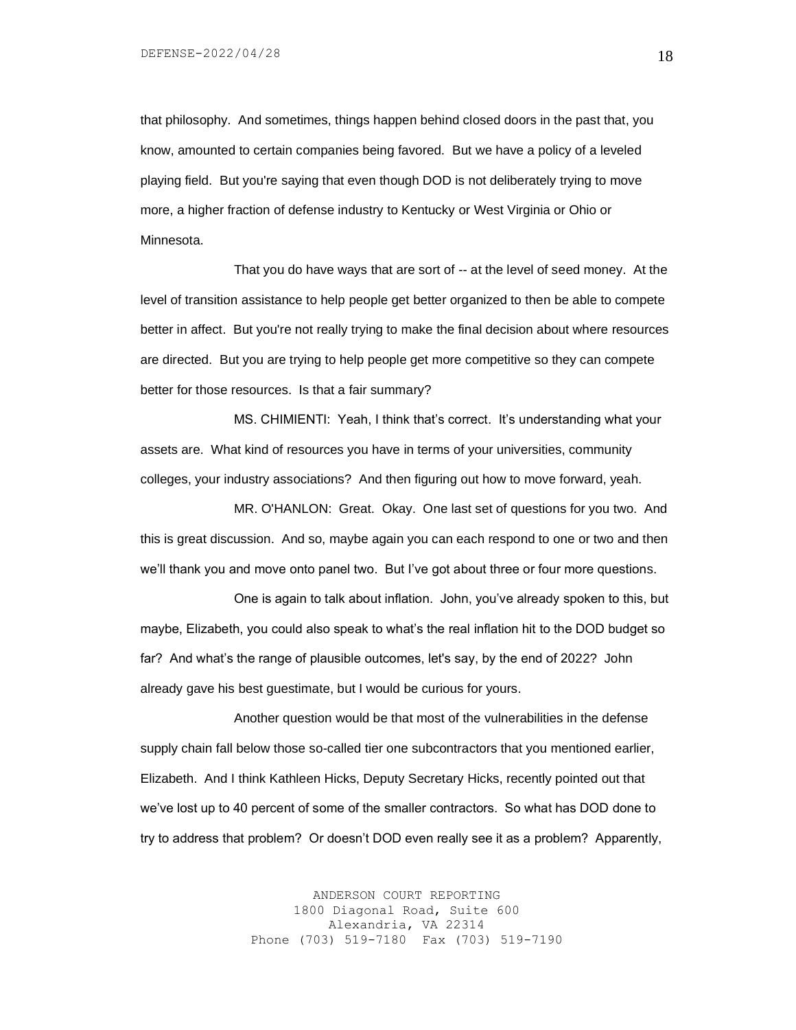that philosophy. And sometimes, things happen behind closed doors in the past that, you know, amounted to certain companies being favored. But we have a policy of a leveled playing field. But you're saying that even though DOD is not deliberately trying to move more, a higher fraction of defense industry to Kentucky or West Virginia or Ohio or Minnesota.

That you do have ways that are sort of -- at the level of seed money. At the level of transition assistance to help people get better organized to then be able to compete better in affect. But you're not really trying to make the final decision about where resources are directed. But you are trying to help people get more competitive so they can compete better for those resources. Is that a fair summary?

MS. CHIMIENTI: Yeah, I think that's correct. It's understanding what your assets are. What kind of resources you have in terms of your universities, community colleges, your industry associations? And then figuring out how to move forward, yeah.

MR. O'HANLON: Great. Okay. One last set of questions for you two. And this is great discussion. And so, maybe again you can each respond to one or two and then we'll thank you and move onto panel two. But I've got about three or four more questions.

One is again to talk about inflation. John, you've already spoken to this, but maybe, Elizabeth, you could also speak to what's the real inflation hit to the DOD budget so far? And what's the range of plausible outcomes, let's say, by the end of 2022? John already gave his best guestimate, but I would be curious for yours.

Another question would be that most of the vulnerabilities in the defense supply chain fall below those so-called tier one subcontractors that you mentioned earlier, Elizabeth. And I think Kathleen Hicks, Deputy Secretary Hicks, recently pointed out that we've lost up to 40 percent of some of the smaller contractors. So what has DOD done to try to address that problem? Or doesn't DOD even really see it as a problem? Apparently,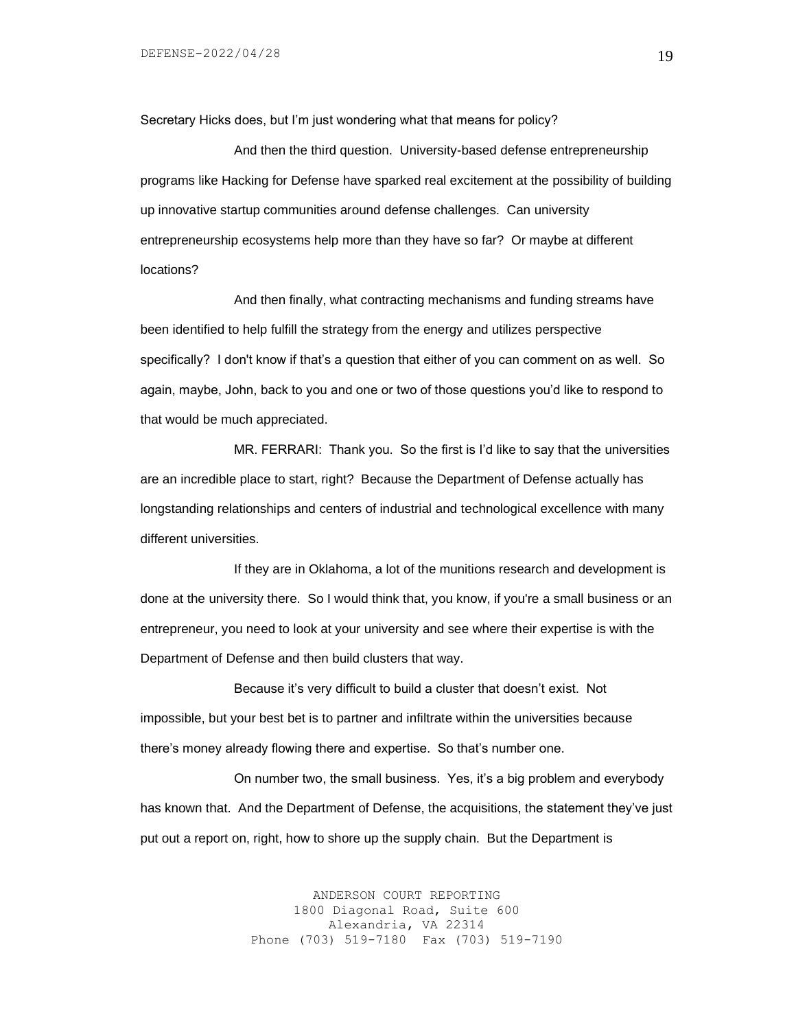Secretary Hicks does, but I'm just wondering what that means for policy?

And then the third question. University-based defense entrepreneurship programs like Hacking for Defense have sparked real excitement at the possibility of building up innovative startup communities around defense challenges. Can university entrepreneurship ecosystems help more than they have so far? Or maybe at different locations?

And then finally, what contracting mechanisms and funding streams have been identified to help fulfill the strategy from the energy and utilizes perspective specifically? I don't know if that's a question that either of you can comment on as well. So again, maybe, John, back to you and one or two of those questions you'd like to respond to that would be much appreciated.

MR. FERRARI: Thank you. So the first is I'd like to say that the universities are an incredible place to start, right? Because the Department of Defense actually has longstanding relationships and centers of industrial and technological excellence with many different universities.

If they are in Oklahoma, a lot of the munitions research and development is done at the university there. So I would think that, you know, if you're a small business or an entrepreneur, you need to look at your university and see where their expertise is with the Department of Defense and then build clusters that way.

Because it's very difficult to build a cluster that doesn't exist. Not impossible, but your best bet is to partner and infiltrate within the universities because there's money already flowing there and expertise. So that's number one.

On number two, the small business. Yes, it's a big problem and everybody has known that. And the Department of Defense, the acquisitions, the statement they've just put out a report on, right, how to shore up the supply chain. But the Department is

> ANDERSON COURT REPORTING 1800 Diagonal Road, Suite 600 Alexandria, VA 22314 Phone (703) 519-7180 Fax (703) 519-7190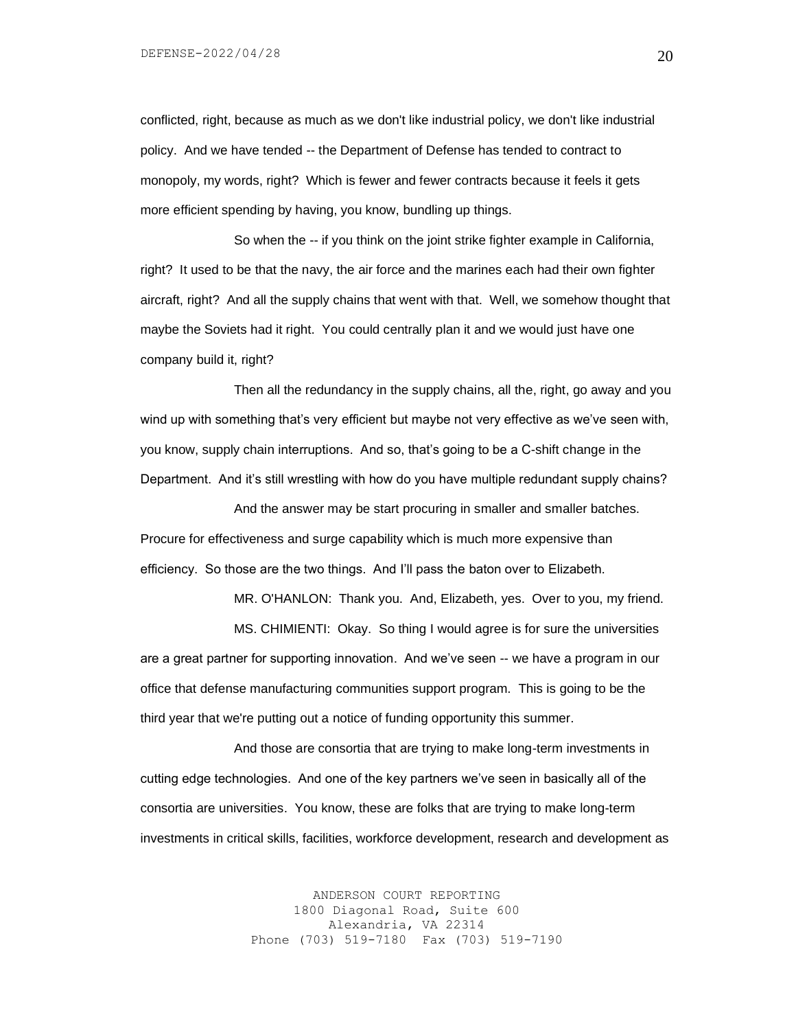conflicted, right, because as much as we don't like industrial policy, we don't like industrial policy. And we have tended -- the Department of Defense has tended to contract to monopoly, my words, right? Which is fewer and fewer contracts because it feels it gets more efficient spending by having, you know, bundling up things.

So when the -- if you think on the joint strike fighter example in California, right? It used to be that the navy, the air force and the marines each had their own fighter aircraft, right? And all the supply chains that went with that. Well, we somehow thought that maybe the Soviets had it right. You could centrally plan it and we would just have one company build it, right?

Then all the redundancy in the supply chains, all the, right, go away and you wind up with something that's very efficient but maybe not very effective as we've seen with, you know, supply chain interruptions. And so, that's going to be a C-shift change in the Department. And it's still wrestling with how do you have multiple redundant supply chains?

And the answer may be start procuring in smaller and smaller batches. Procure for effectiveness and surge capability which is much more expensive than efficiency. So those are the two things. And I'll pass the baton over to Elizabeth.

MR. O'HANLON: Thank you. And, Elizabeth, yes. Over to you, my friend. MS. CHIMIENTI: Okay. So thing I would agree is for sure the universities are a great partner for supporting innovation. And we've seen -- we have a program in our office that defense manufacturing communities support program. This is going to be the third year that we're putting out a notice of funding opportunity this summer.

And those are consortia that are trying to make long-term investments in cutting edge technologies. And one of the key partners we've seen in basically all of the consortia are universities. You know, these are folks that are trying to make long-term investments in critical skills, facilities, workforce development, research and development as

> ANDERSON COURT REPORTING 1800 Diagonal Road, Suite 600 Alexandria, VA 22314 Phone (703) 519-7180 Fax (703) 519-7190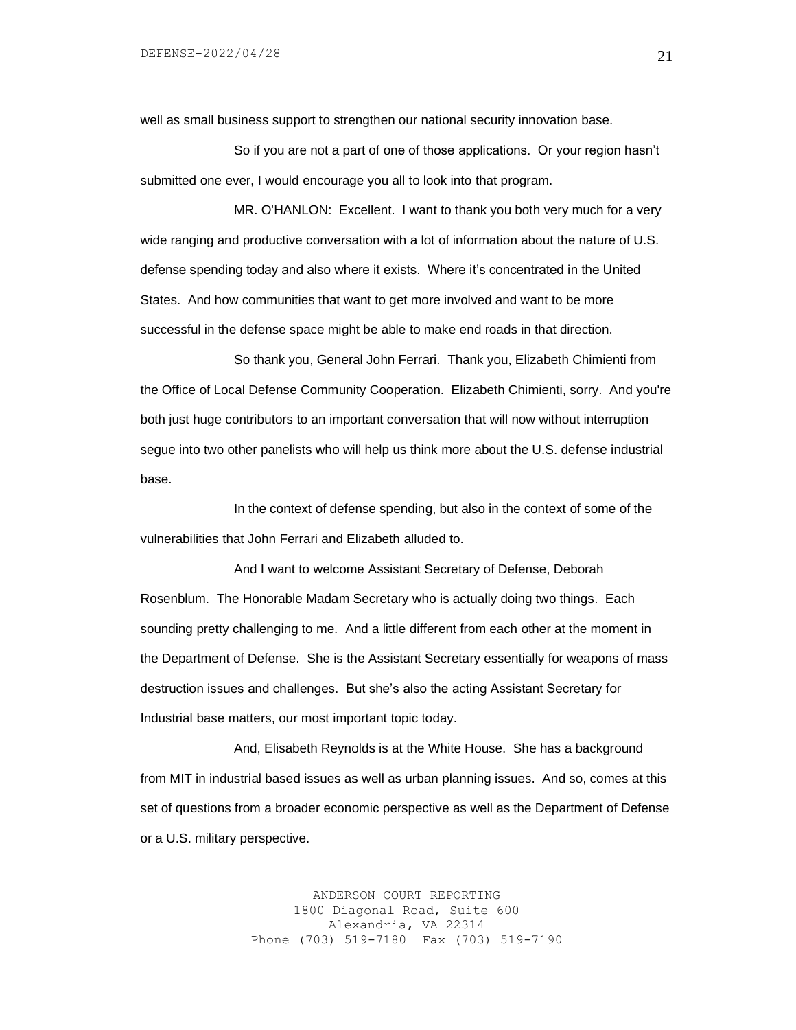well as small business support to strengthen our national security innovation base.

So if you are not a part of one of those applications. Or your region hasn't submitted one ever, I would encourage you all to look into that program.

MR. O'HANLON: Excellent. I want to thank you both very much for a very wide ranging and productive conversation with a lot of information about the nature of U.S. defense spending today and also where it exists. Where it's concentrated in the United States. And how communities that want to get more involved and want to be more successful in the defense space might be able to make end roads in that direction.

So thank you, General John Ferrari. Thank you, Elizabeth Chimienti from the Office of Local Defense Community Cooperation. Elizabeth Chimienti, sorry. And you're both just huge contributors to an important conversation that will now without interruption segue into two other panelists who will help us think more about the U.S. defense industrial base.

In the context of defense spending, but also in the context of some of the vulnerabilities that John Ferrari and Elizabeth alluded to.

And I want to welcome Assistant Secretary of Defense, Deborah Rosenblum. The Honorable Madam Secretary who is actually doing two things. Each sounding pretty challenging to me. And a little different from each other at the moment in the Department of Defense. She is the Assistant Secretary essentially for weapons of mass destruction issues and challenges. But she's also the acting Assistant Secretary for Industrial base matters, our most important topic today.

And, Elisabeth Reynolds is at the White House. She has a background from MIT in industrial based issues as well as urban planning issues. And so, comes at this set of questions from a broader economic perspective as well as the Department of Defense or a U.S. military perspective.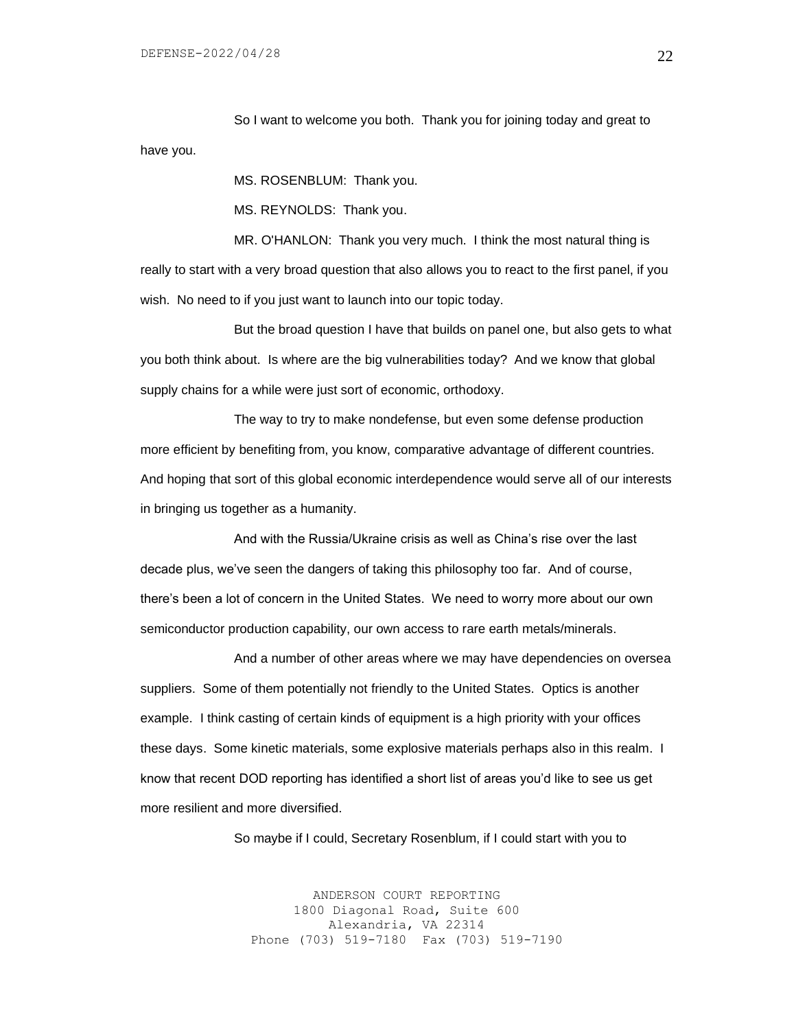So I want to welcome you both. Thank you for joining today and great to have you.

MS. ROSENBLUM: Thank you.

MS. REYNOLDS: Thank you.

MR. O'HANLON: Thank you very much. I think the most natural thing is really to start with a very broad question that also allows you to react to the first panel, if you wish. No need to if you just want to launch into our topic today.

But the broad question I have that builds on panel one, but also gets to what you both think about. Is where are the big vulnerabilities today? And we know that global supply chains for a while were just sort of economic, orthodoxy.

The way to try to make nondefense, but even some defense production more efficient by benefiting from, you know, comparative advantage of different countries. And hoping that sort of this global economic interdependence would serve all of our interests in bringing us together as a humanity.

And with the Russia/Ukraine crisis as well as China's rise over the last decade plus, we've seen the dangers of taking this philosophy too far. And of course, there's been a lot of concern in the United States. We need to worry more about our own semiconductor production capability, our own access to rare earth metals/minerals.

And a number of other areas where we may have dependencies on oversea suppliers. Some of them potentially not friendly to the United States. Optics is another example. I think casting of certain kinds of equipment is a high priority with your offices these days. Some kinetic materials, some explosive materials perhaps also in this realm. I know that recent DOD reporting has identified a short list of areas you'd like to see us get more resilient and more diversified.

So maybe if I could, Secretary Rosenblum, if I could start with you to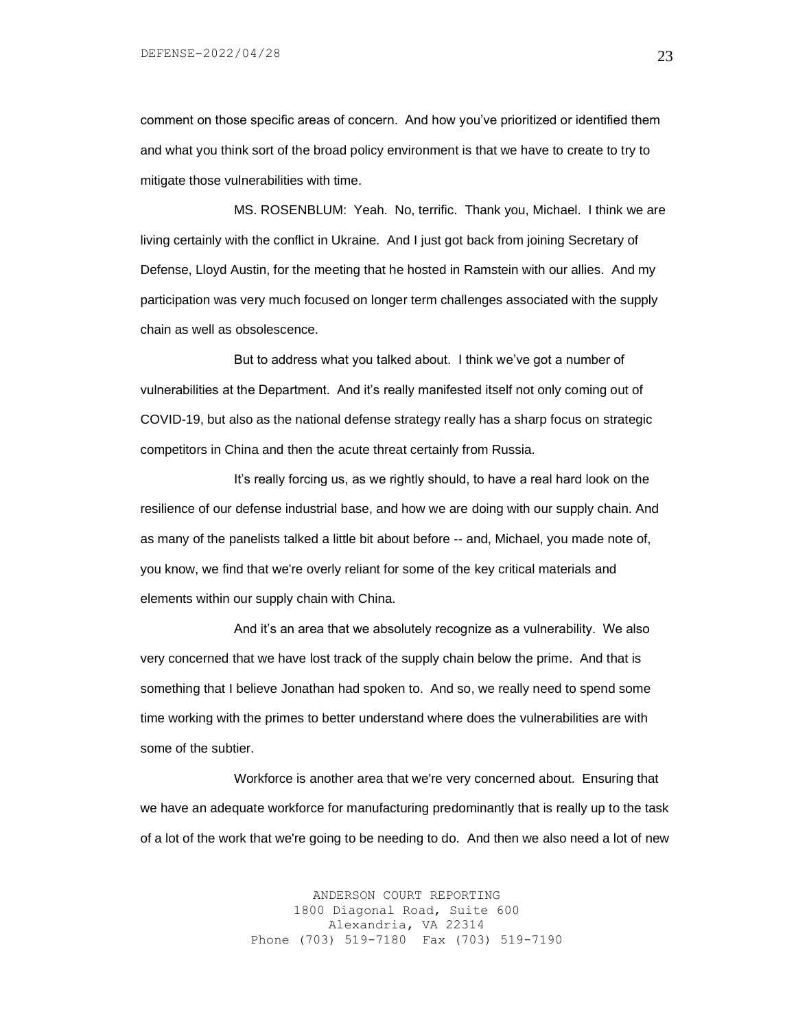comment on those specific areas of concern. And how you've prioritized or identified them and what you think sort of the broad policy environment is that we have to create to try to mitigate those vulnerabilities with time.

MS. ROSENBLUM: Yeah. No, terrific. Thank you, Michael. I think we are living certainly with the conflict in Ukraine. And I just got back from joining Secretary of Defense, Lloyd Austin, for the meeting that he hosted in Ramstein with our allies. And my participation was very much focused on longer term challenges associated with the supply chain as well as obsolescence.

But to address what you talked about. I think we've got a number of vulnerabilities at the Department. And it's really manifested itself not only coming out of COVID-19, but also as the national defense strategy really has a sharp focus on strategic competitors in China and then the acute threat certainly from Russia.

It's really forcing us, as we rightly should, to have a real hard look on the resilience of our defense industrial base, and how we are doing with our supply chain. And as many of the panelists talked a little bit about before -- and, Michael, you made note of, you know, we find that we're overly reliant for some of the key critical materials and elements within our supply chain with China.

And it's an area that we absolutely recognize as a vulnerability. We also very concerned that we have lost track of the supply chain below the prime. And that is something that I believe Jonathan had spoken to. And so, we really need to spend some time working with the primes to better understand where does the vulnerabilities are with some of the subtier.

Workforce is another area that we're very concerned about. Ensuring that we have an adequate workforce for manufacturing predominantly that is really up to the task of a lot of the work that we're going to be needing to do. And then we also need a lot of new

> ANDERSON COURT REPORTING 1800 Diagonal Road, Suite 600 Alexandria, VA 22314 Phone (703) 519-7180 Fax (703) 519-7190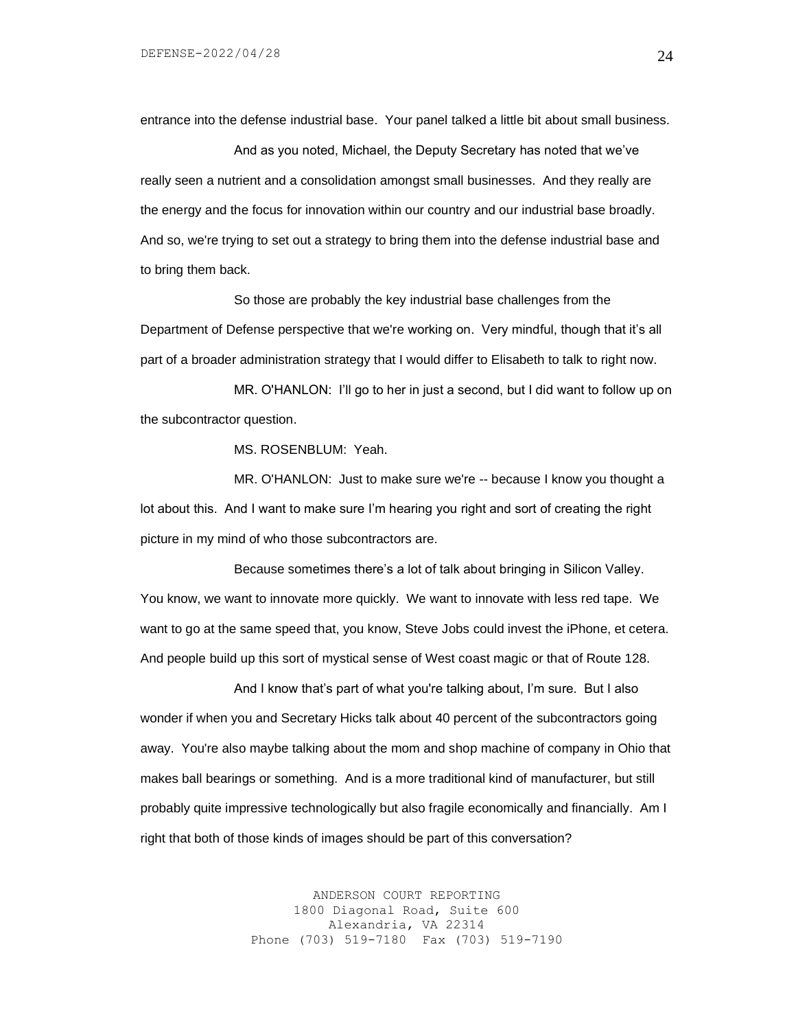entrance into the defense industrial base. Your panel talked a little bit about small business.

And as you noted, Michael, the Deputy Secretary has noted that we've really seen a nutrient and a consolidation amongst small businesses. And they really are the energy and the focus for innovation within our country and our industrial base broadly. And so, we're trying to set out a strategy to bring them into the defense industrial base and to bring them back.

So those are probably the key industrial base challenges from the Department of Defense perspective that we're working on. Very mindful, though that it's all part of a broader administration strategy that I would differ to Elisabeth to talk to right now.

MR. O'HANLON: I'll go to her in just a second, but I did want to follow up on the subcontractor question.

MS. ROSENBLUM: Yeah.

MR. O'HANLON: Just to make sure we're -- because I know you thought a lot about this. And I want to make sure I'm hearing you right and sort of creating the right picture in my mind of who those subcontractors are.

Because sometimes there's a lot of talk about bringing in Silicon Valley. You know, we want to innovate more quickly. We want to innovate with less red tape. We want to go at the same speed that, you know, Steve Jobs could invest the iPhone, et cetera. And people build up this sort of mystical sense of West coast magic or that of Route 128.

And I know that's part of what you're talking about, I'm sure. But I also wonder if when you and Secretary Hicks talk about 40 percent of the subcontractors going away. You're also maybe talking about the mom and shop machine of company in Ohio that makes ball bearings or something. And is a more traditional kind of manufacturer, but still probably quite impressive technologically but also fragile economically and financially. Am I right that both of those kinds of images should be part of this conversation?

> ANDERSON COURT REPORTING 1800 Diagonal Road, Suite 600 Alexandria, VA 22314 Phone (703) 519-7180 Fax (703) 519-7190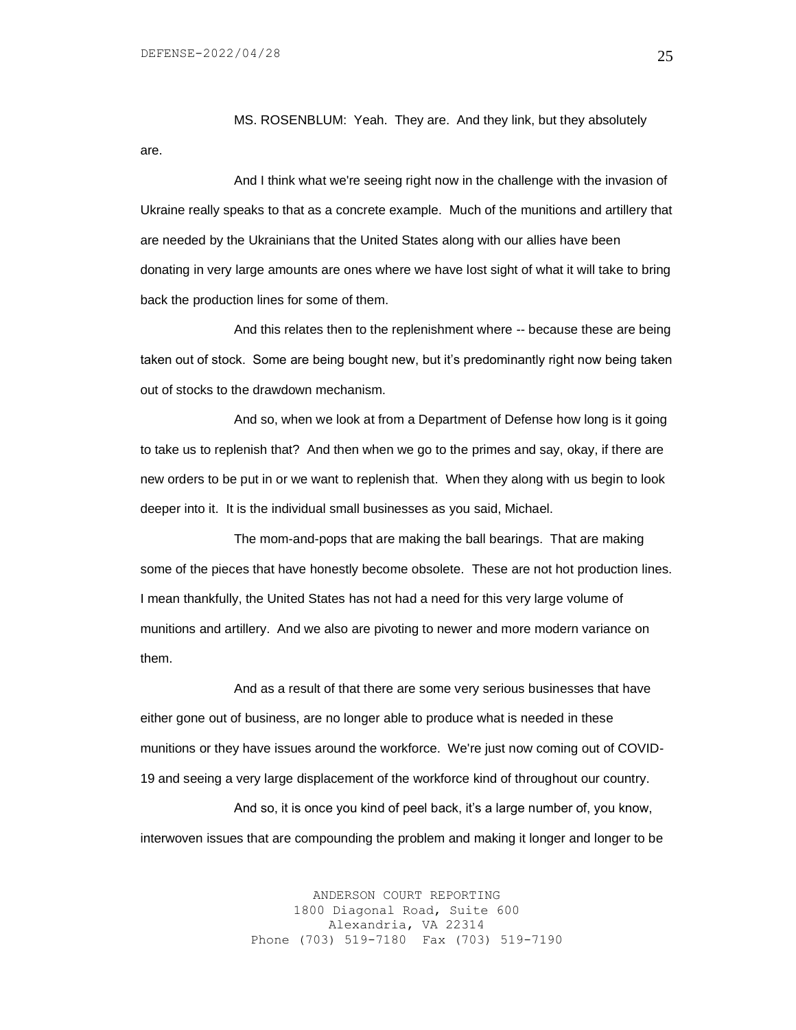MS. ROSENBLUM: Yeah. They are. And they link, but they absolutely are.

And I think what we're seeing right now in the challenge with the invasion of Ukraine really speaks to that as a concrete example. Much of the munitions and artillery that are needed by the Ukrainians that the United States along with our allies have been donating in very large amounts are ones where we have lost sight of what it will take to bring back the production lines for some of them.

And this relates then to the replenishment where -- because these are being taken out of stock. Some are being bought new, but it's predominantly right now being taken out of stocks to the drawdown mechanism.

And so, when we look at from a Department of Defense how long is it going to take us to replenish that? And then when we go to the primes and say, okay, if there are new orders to be put in or we want to replenish that. When they along with us begin to look deeper into it. It is the individual small businesses as you said, Michael.

The mom-and-pops that are making the ball bearings. That are making some of the pieces that have honestly become obsolete. These are not hot production lines. I mean thankfully, the United States has not had a need for this very large volume of munitions and artillery. And we also are pivoting to newer and more modern variance on them.

And as a result of that there are some very serious businesses that have either gone out of business, are no longer able to produce what is needed in these munitions or they have issues around the workforce. We're just now coming out of COVID-19 and seeing a very large displacement of the workforce kind of throughout our country.

And so, it is once you kind of peel back, it's a large number of, you know, interwoven issues that are compounding the problem and making it longer and longer to be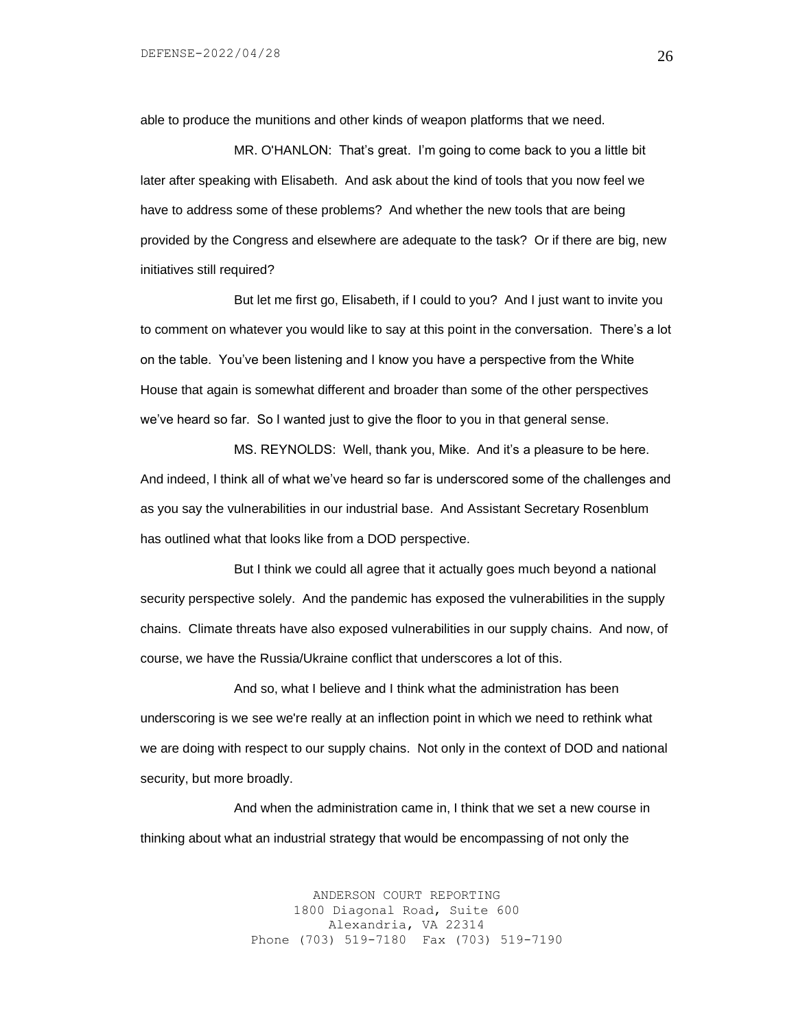able to produce the munitions and other kinds of weapon platforms that we need.

MR. O'HANLON: That's great. I'm going to come back to you a little bit later after speaking with Elisabeth. And ask about the kind of tools that you now feel we have to address some of these problems? And whether the new tools that are being provided by the Congress and elsewhere are adequate to the task? Or if there are big, new initiatives still required?

But let me first go, Elisabeth, if I could to you? And I just want to invite you to comment on whatever you would like to say at this point in the conversation. There's a lot on the table. You've been listening and I know you have a perspective from the White House that again is somewhat different and broader than some of the other perspectives we've heard so far. So I wanted just to give the floor to you in that general sense.

MS. REYNOLDS: Well, thank you, Mike. And it's a pleasure to be here. And indeed, I think all of what we've heard so far is underscored some of the challenges and as you say the vulnerabilities in our industrial base. And Assistant Secretary Rosenblum has outlined what that looks like from a DOD perspective.

But I think we could all agree that it actually goes much beyond a national security perspective solely. And the pandemic has exposed the vulnerabilities in the supply chains. Climate threats have also exposed vulnerabilities in our supply chains. And now, of course, we have the Russia/Ukraine conflict that underscores a lot of this.

And so, what I believe and I think what the administration has been underscoring is we see we're really at an inflection point in which we need to rethink what we are doing with respect to our supply chains. Not only in the context of DOD and national security, but more broadly.

And when the administration came in, I think that we set a new course in thinking about what an industrial strategy that would be encompassing of not only the

> ANDERSON COURT REPORTING 1800 Diagonal Road, Suite 600 Alexandria, VA 22314 Phone (703) 519-7180 Fax (703) 519-7190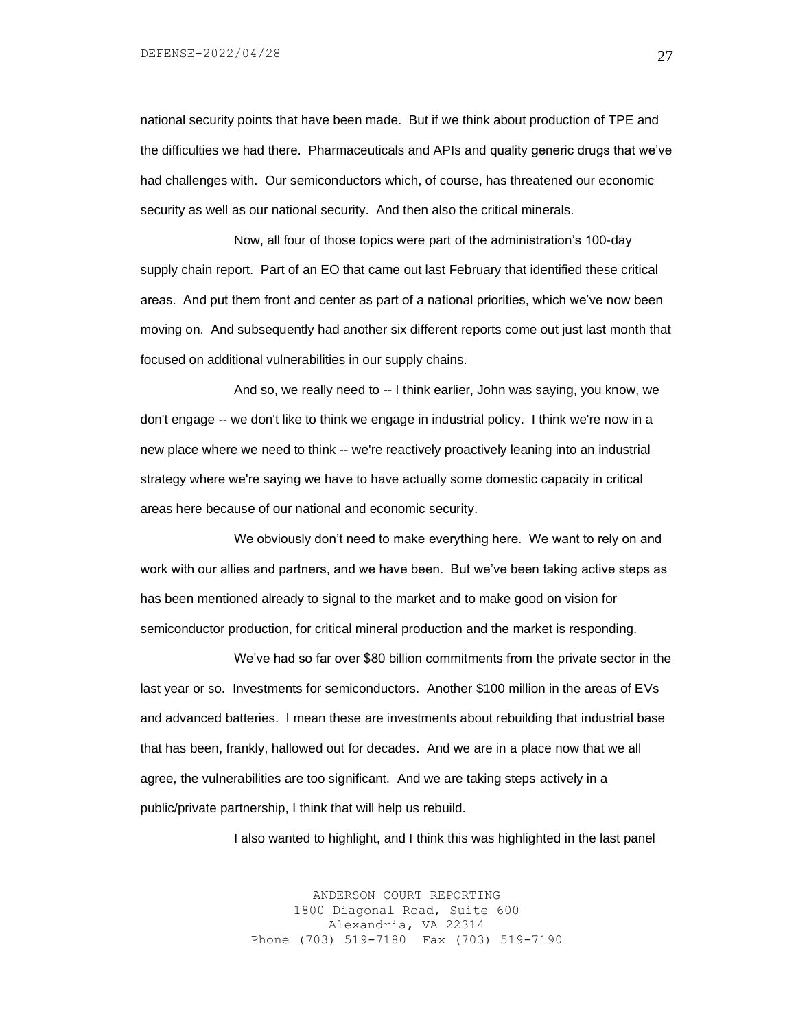national security points that have been made. But if we think about production of TPE and the difficulties we had there. Pharmaceuticals and APIs and quality generic drugs that we've had challenges with. Our semiconductors which, of course, has threatened our economic security as well as our national security. And then also the critical minerals.

Now, all four of those topics were part of the administration's 100-day supply chain report. Part of an EO that came out last February that identified these critical areas. And put them front and center as part of a national priorities, which we've now been moving on. And subsequently had another six different reports come out just last month that focused on additional vulnerabilities in our supply chains.

And so, we really need to -- I think earlier, John was saying, you know, we don't engage -- we don't like to think we engage in industrial policy. I think we're now in a new place where we need to think -- we're reactively proactively leaning into an industrial strategy where we're saying we have to have actually some domestic capacity in critical areas here because of our national and economic security.

We obviously don't need to make everything here. We want to rely on and work with our allies and partners, and we have been. But we've been taking active steps as has been mentioned already to signal to the market and to make good on vision for semiconductor production, for critical mineral production and the market is responding.

We've had so far over \$80 billion commitments from the private sector in the last year or so. Investments for semiconductors. Another \$100 million in the areas of EVs and advanced batteries. I mean these are investments about rebuilding that industrial base that has been, frankly, hallowed out for decades. And we are in a place now that we all agree, the vulnerabilities are too significant. And we are taking steps actively in a public/private partnership, I think that will help us rebuild.

I also wanted to highlight, and I think this was highlighted in the last panel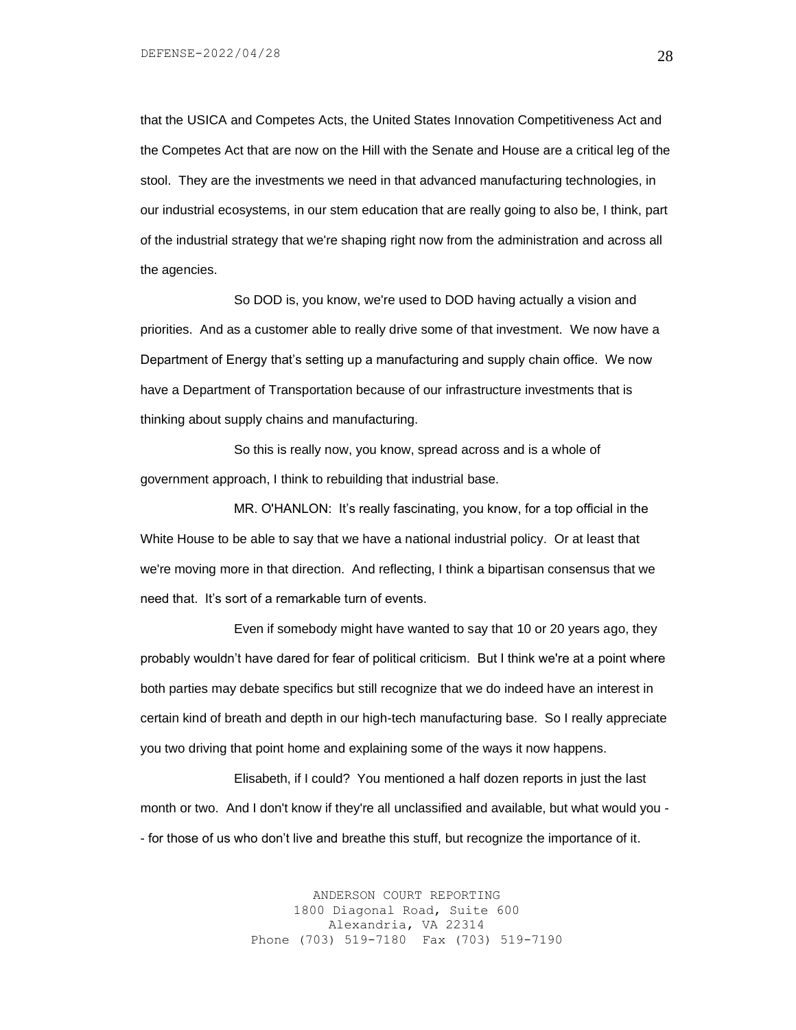that the USICA and Competes Acts, the United States Innovation Competitiveness Act and the Competes Act that are now on the Hill with the Senate and House are a critical leg of the stool. They are the investments we need in that advanced manufacturing technologies, in our industrial ecosystems, in our stem education that are really going to also be, I think, part of the industrial strategy that we're shaping right now from the administration and across all the agencies.

So DOD is, you know, we're used to DOD having actually a vision and priorities. And as a customer able to really drive some of that investment. We now have a Department of Energy that's setting up a manufacturing and supply chain office. We now have a Department of Transportation because of our infrastructure investments that is thinking about supply chains and manufacturing.

So this is really now, you know, spread across and is a whole of government approach, I think to rebuilding that industrial base.

MR. O'HANLON: It's really fascinating, you know, for a top official in the White House to be able to say that we have a national industrial policy. Or at least that we're moving more in that direction. And reflecting, I think a bipartisan consensus that we need that. It's sort of a remarkable turn of events.

Even if somebody might have wanted to say that 10 or 20 years ago, they probably wouldn't have dared for fear of political criticism. But I think we're at a point where both parties may debate specifics but still recognize that we do indeed have an interest in certain kind of breath and depth in our high-tech manufacturing base. So I really appreciate you two driving that point home and explaining some of the ways it now happens.

Elisabeth, if I could? You mentioned a half dozen reports in just the last month or two. And I don't know if they're all unclassified and available, but what would you - - for those of us who don't live and breathe this stuff, but recognize the importance of it.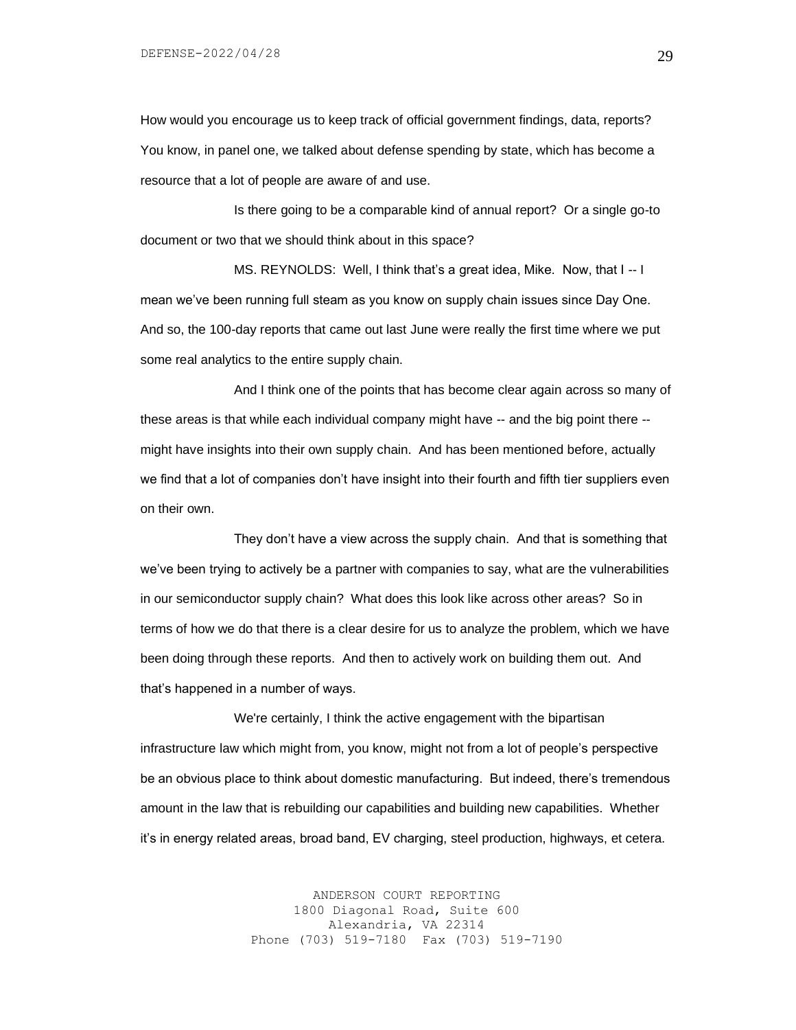How would you encourage us to keep track of official government findings, data, reports? You know, in panel one, we talked about defense spending by state, which has become a resource that a lot of people are aware of and use.

Is there going to be a comparable kind of annual report? Or a single go-to document or two that we should think about in this space?

MS. REYNOLDS: Well, I think that's a great idea, Mike. Now, that I -- I mean we've been running full steam as you know on supply chain issues since Day One. And so, the 100-day reports that came out last June were really the first time where we put some real analytics to the entire supply chain.

And I think one of the points that has become clear again across so many of these areas is that while each individual company might have -- and the big point there - might have insights into their own supply chain. And has been mentioned before, actually we find that a lot of companies don't have insight into their fourth and fifth tier suppliers even on their own.

They don't have a view across the supply chain. And that is something that we've been trying to actively be a partner with companies to say, what are the vulnerabilities in our semiconductor supply chain? What does this look like across other areas? So in terms of how we do that there is a clear desire for us to analyze the problem, which we have been doing through these reports. And then to actively work on building them out. And that's happened in a number of ways.

We're certainly, I think the active engagement with the bipartisan infrastructure law which might from, you know, might not from a lot of people's perspective be an obvious place to think about domestic manufacturing. But indeed, there's tremendous amount in the law that is rebuilding our capabilities and building new capabilities. Whether it's in energy related areas, broad band, EV charging, steel production, highways, et cetera.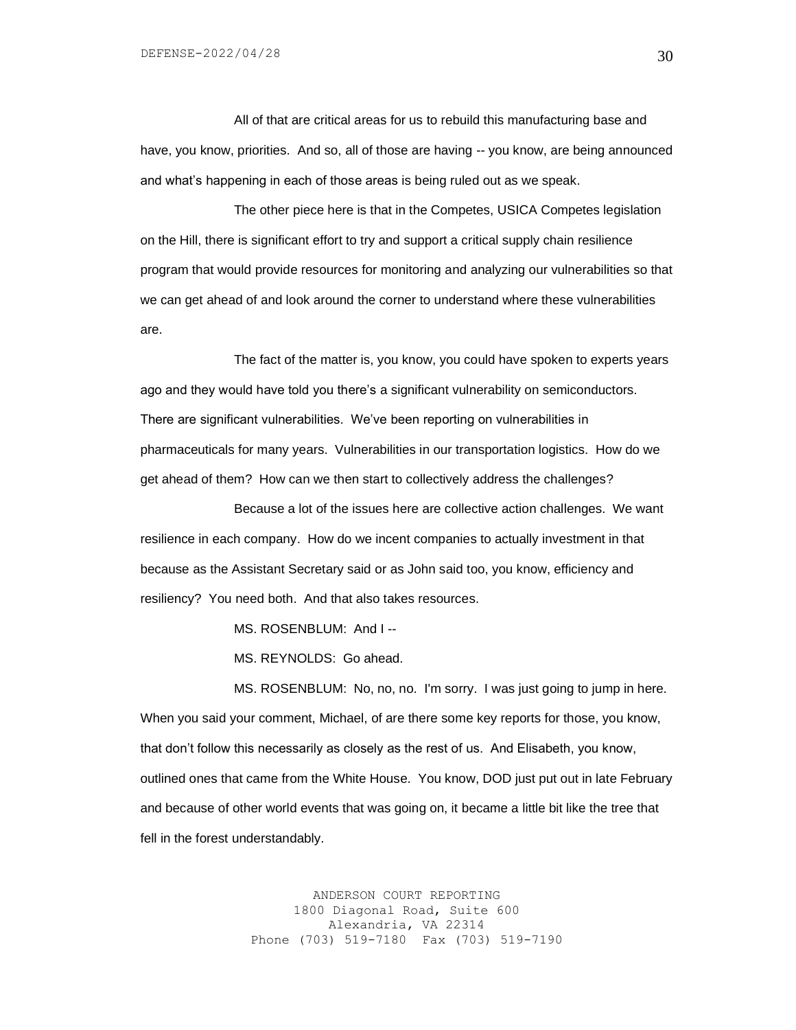All of that are critical areas for us to rebuild this manufacturing base and have, you know, priorities. And so, all of those are having -- you know, are being announced and what's happening in each of those areas is being ruled out as we speak.

The other piece here is that in the Competes, USICA Competes legislation on the Hill, there is significant effort to try and support a critical supply chain resilience program that would provide resources for monitoring and analyzing our vulnerabilities so that we can get ahead of and look around the corner to understand where these vulnerabilities are.

The fact of the matter is, you know, you could have spoken to experts years ago and they would have told you there's a significant vulnerability on semiconductors. There are significant vulnerabilities. We've been reporting on vulnerabilities in pharmaceuticals for many years. Vulnerabilities in our transportation logistics. How do we get ahead of them? How can we then start to collectively address the challenges?

Because a lot of the issues here are collective action challenges. We want resilience in each company. How do we incent companies to actually investment in that because as the Assistant Secretary said or as John said too, you know, efficiency and resiliency? You need both. And that also takes resources.

MS. ROSENBLUM: And I --

MS. REYNOLDS: Go ahead.

MS. ROSENBLUM: No, no, no. I'm sorry. I was just going to jump in here. When you said your comment, Michael, of are there some key reports for those, you know, that don't follow this necessarily as closely as the rest of us. And Elisabeth, you know, outlined ones that came from the White House. You know, DOD just put out in late February and because of other world events that was going on, it became a little bit like the tree that fell in the forest understandably.

> ANDERSON COURT REPORTING 1800 Diagonal Road, Suite 600 Alexandria, VA 22314 Phone (703) 519-7180 Fax (703) 519-7190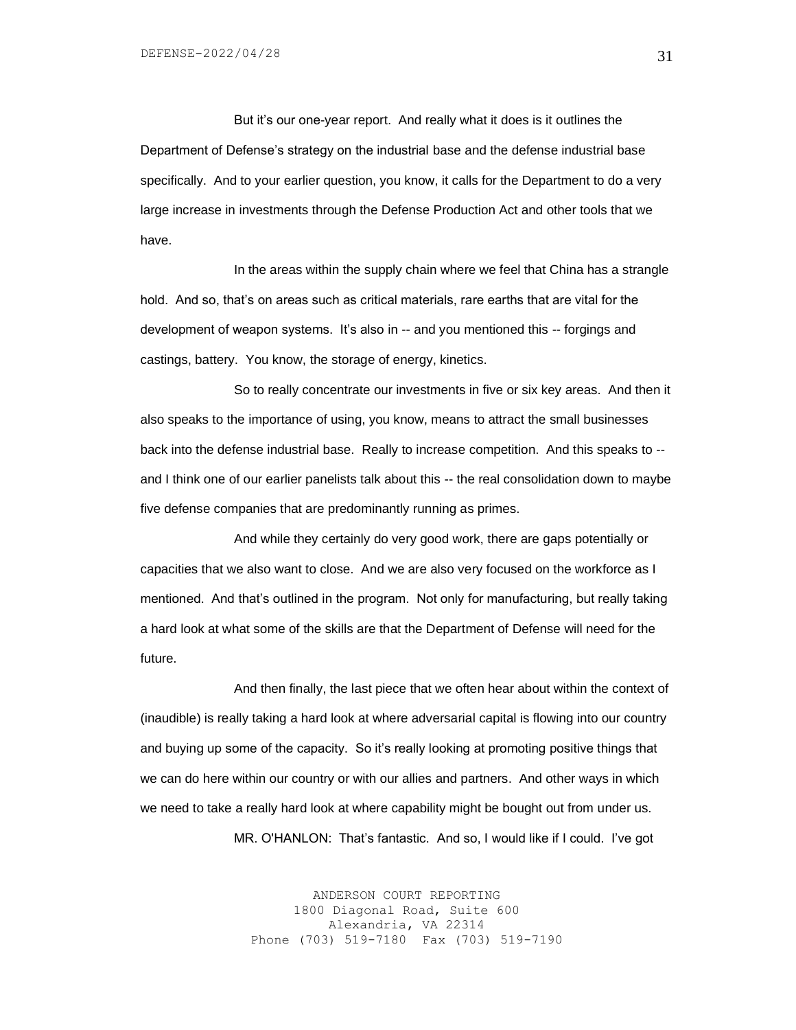But it's our one-year report. And really what it does is it outlines the Department of Defense's strategy on the industrial base and the defense industrial base specifically. And to your earlier question, you know, it calls for the Department to do a very large increase in investments through the Defense Production Act and other tools that we have.

In the areas within the supply chain where we feel that China has a strangle hold. And so, that's on areas such as critical materials, rare earths that are vital for the development of weapon systems. It's also in -- and you mentioned this -- forgings and castings, battery. You know, the storage of energy, kinetics.

So to really concentrate our investments in five or six key areas. And then it also speaks to the importance of using, you know, means to attract the small businesses back into the defense industrial base. Really to increase competition. And this speaks to - and I think one of our earlier panelists talk about this -- the real consolidation down to maybe five defense companies that are predominantly running as primes.

And while they certainly do very good work, there are gaps potentially or capacities that we also want to close. And we are also very focused on the workforce as I mentioned. And that's outlined in the program. Not only for manufacturing, but really taking a hard look at what some of the skills are that the Department of Defense will need for the future.

And then finally, the last piece that we often hear about within the context of (inaudible) is really taking a hard look at where adversarial capital is flowing into our country and buying up some of the capacity. So it's really looking at promoting positive things that we can do here within our country or with our allies and partners. And other ways in which we need to take a really hard look at where capability might be bought out from under us.

MR. O'HANLON: That's fantastic. And so, I would like if I could. I've got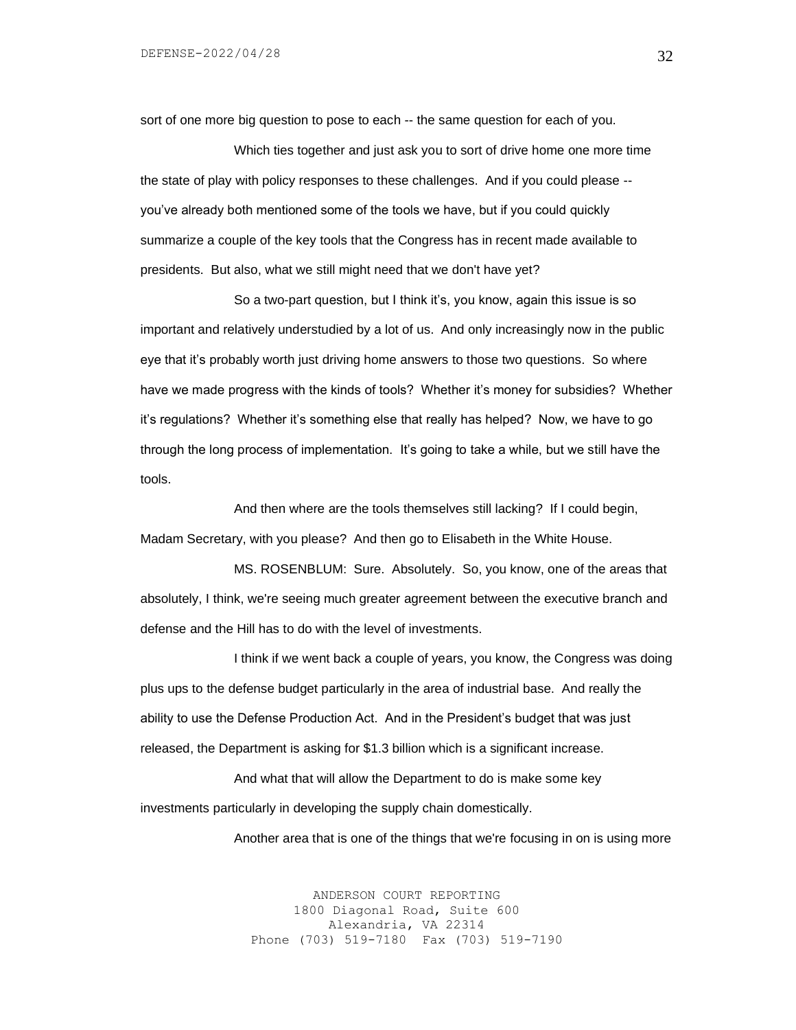sort of one more big question to pose to each -- the same question for each of you.

Which ties together and just ask you to sort of drive home one more time the state of play with policy responses to these challenges. And if you could please - you've already both mentioned some of the tools we have, but if you could quickly summarize a couple of the key tools that the Congress has in recent made available to presidents. But also, what we still might need that we don't have yet?

So a two-part question, but I think it's, you know, again this issue is so important and relatively understudied by a lot of us. And only increasingly now in the public eye that it's probably worth just driving home answers to those two questions. So where have we made progress with the kinds of tools? Whether it's money for subsidies? Whether it's regulations? Whether it's something else that really has helped? Now, we have to go through the long process of implementation. It's going to take a while, but we still have the tools.

And then where are the tools themselves still lacking? If I could begin, Madam Secretary, with you please? And then go to Elisabeth in the White House.

MS. ROSENBLUM: Sure. Absolutely. So, you know, one of the areas that absolutely, I think, we're seeing much greater agreement between the executive branch and defense and the Hill has to do with the level of investments.

I think if we went back a couple of years, you know, the Congress was doing plus ups to the defense budget particularly in the area of industrial base. And really the ability to use the Defense Production Act. And in the President's budget that was just released, the Department is asking for \$1.3 billion which is a significant increase.

And what that will allow the Department to do is make some key investments particularly in developing the supply chain domestically.

Another area that is one of the things that we're focusing in on is using more

ANDERSON COURT REPORTING 1800 Diagonal Road, Suite 600 Alexandria, VA 22314 Phone (703) 519-7180 Fax (703) 519-7190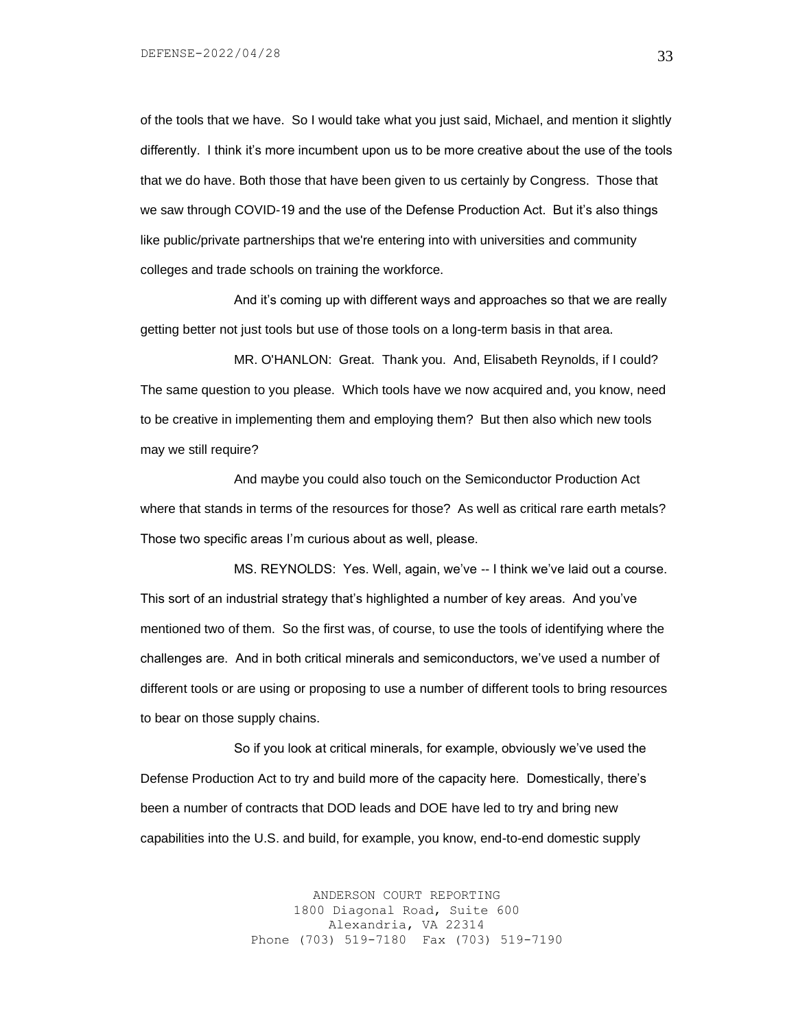of the tools that we have. So I would take what you just said, Michael, and mention it slightly differently. I think it's more incumbent upon us to be more creative about the use of the tools that we do have. Both those that have been given to us certainly by Congress. Those that we saw through COVID-19 and the use of the Defense Production Act. But it's also things like public/private partnerships that we're entering into with universities and community colleges and trade schools on training the workforce.

And it's coming up with different ways and approaches so that we are really getting better not just tools but use of those tools on a long-term basis in that area.

MR. O'HANLON: Great. Thank you. And, Elisabeth Reynolds, if I could? The same question to you please. Which tools have we now acquired and, you know, need to be creative in implementing them and employing them? But then also which new tools may we still require?

And maybe you could also touch on the Semiconductor Production Act where that stands in terms of the resources for those? As well as critical rare earth metals? Those two specific areas I'm curious about as well, please.

MS. REYNOLDS: Yes. Well, again, we've -- I think we've laid out a course. This sort of an industrial strategy that's highlighted a number of key areas. And you've mentioned two of them. So the first was, of course, to use the tools of identifying where the challenges are. And in both critical minerals and semiconductors, we've used a number of different tools or are using or proposing to use a number of different tools to bring resources to bear on those supply chains.

So if you look at critical minerals, for example, obviously we've used the Defense Production Act to try and build more of the capacity here. Domestically, there's been a number of contracts that DOD leads and DOE have led to try and bring new capabilities into the U.S. and build, for example, you know, end-to-end domestic supply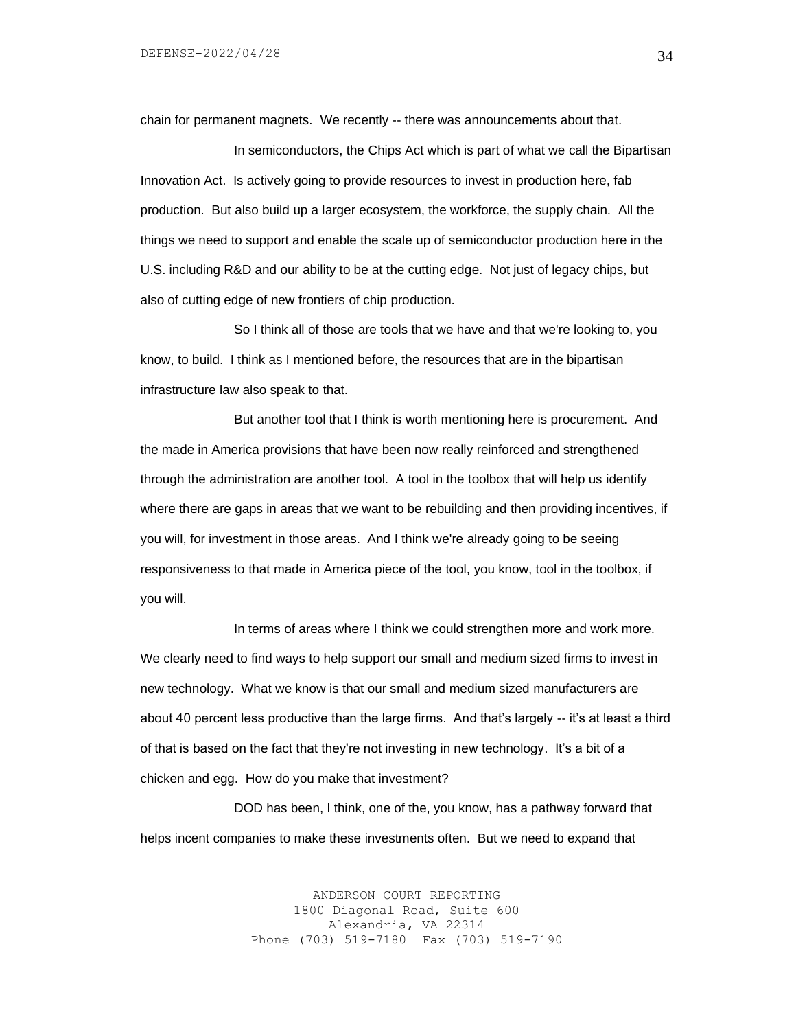chain for permanent magnets. We recently -- there was announcements about that.

In semiconductors, the Chips Act which is part of what we call the Bipartisan Innovation Act. Is actively going to provide resources to invest in production here, fab production. But also build up a larger ecosystem, the workforce, the supply chain. All the things we need to support and enable the scale up of semiconductor production here in the U.S. including R&D and our ability to be at the cutting edge. Not just of legacy chips, but also of cutting edge of new frontiers of chip production.

So I think all of those are tools that we have and that we're looking to, you know, to build. I think as I mentioned before, the resources that are in the bipartisan infrastructure law also speak to that.

But another tool that I think is worth mentioning here is procurement. And the made in America provisions that have been now really reinforced and strengthened through the administration are another tool. A tool in the toolbox that will help us identify where there are gaps in areas that we want to be rebuilding and then providing incentives, if you will, for investment in those areas. And I think we're already going to be seeing responsiveness to that made in America piece of the tool, you know, tool in the toolbox, if you will.

In terms of areas where I think we could strengthen more and work more. We clearly need to find ways to help support our small and medium sized firms to invest in new technology. What we know is that our small and medium sized manufacturers are about 40 percent less productive than the large firms. And that's largely -- it's at least a third of that is based on the fact that they're not investing in new technology. It's a bit of a chicken and egg. How do you make that investment?

DOD has been, I think, one of the, you know, has a pathway forward that helps incent companies to make these investments often. But we need to expand that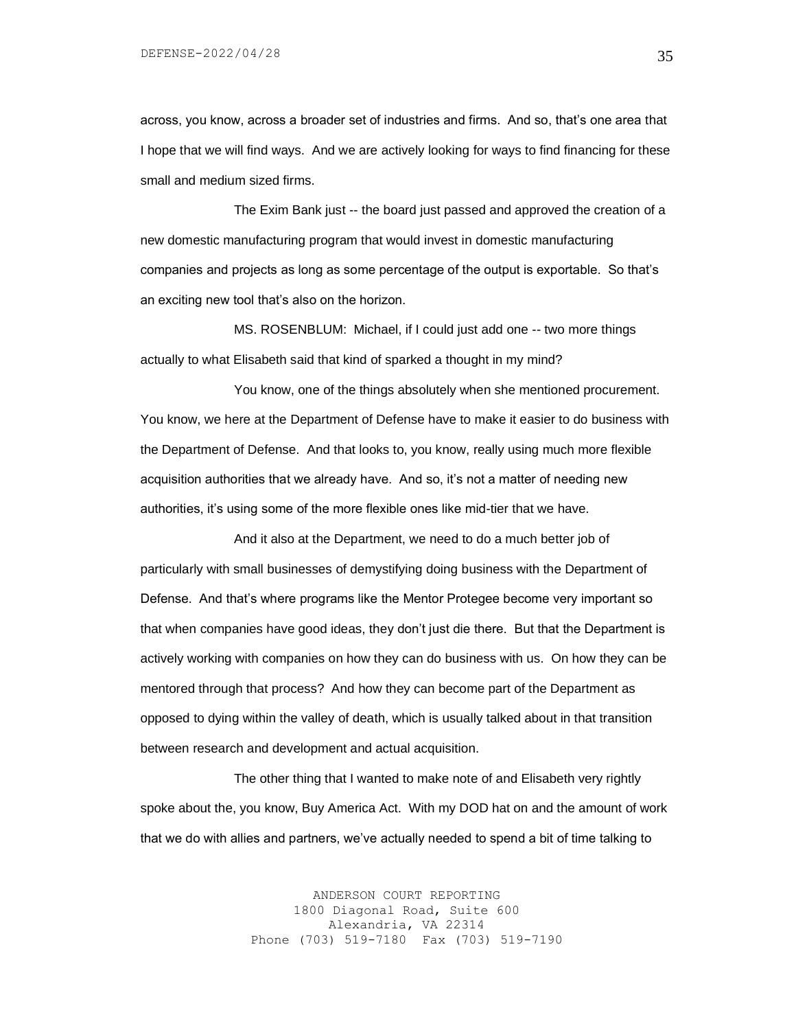across, you know, across a broader set of industries and firms. And so, that's one area that I hope that we will find ways. And we are actively looking for ways to find financing for these small and medium sized firms.

The Exim Bank just -- the board just passed and approved the creation of a new domestic manufacturing program that would invest in domestic manufacturing companies and projects as long as some percentage of the output is exportable. So that's an exciting new tool that's also on the horizon.

MS. ROSENBLUM: Michael, if I could just add one -- two more things actually to what Elisabeth said that kind of sparked a thought in my mind?

You know, one of the things absolutely when she mentioned procurement. You know, we here at the Department of Defense have to make it easier to do business with the Department of Defense. And that looks to, you know, really using much more flexible acquisition authorities that we already have. And so, it's not a matter of needing new authorities, it's using some of the more flexible ones like mid-tier that we have.

And it also at the Department, we need to do a much better job of particularly with small businesses of demystifying doing business with the Department of Defense. And that's where programs like the Mentor Protegee become very important so that when companies have good ideas, they don't just die there. But that the Department is actively working with companies on how they can do business with us. On how they can be mentored through that process? And how they can become part of the Department as opposed to dying within the valley of death, which is usually talked about in that transition between research and development and actual acquisition.

The other thing that I wanted to make note of and Elisabeth very rightly spoke about the, you know, Buy America Act. With my DOD hat on and the amount of work that we do with allies and partners, we've actually needed to spend a bit of time talking to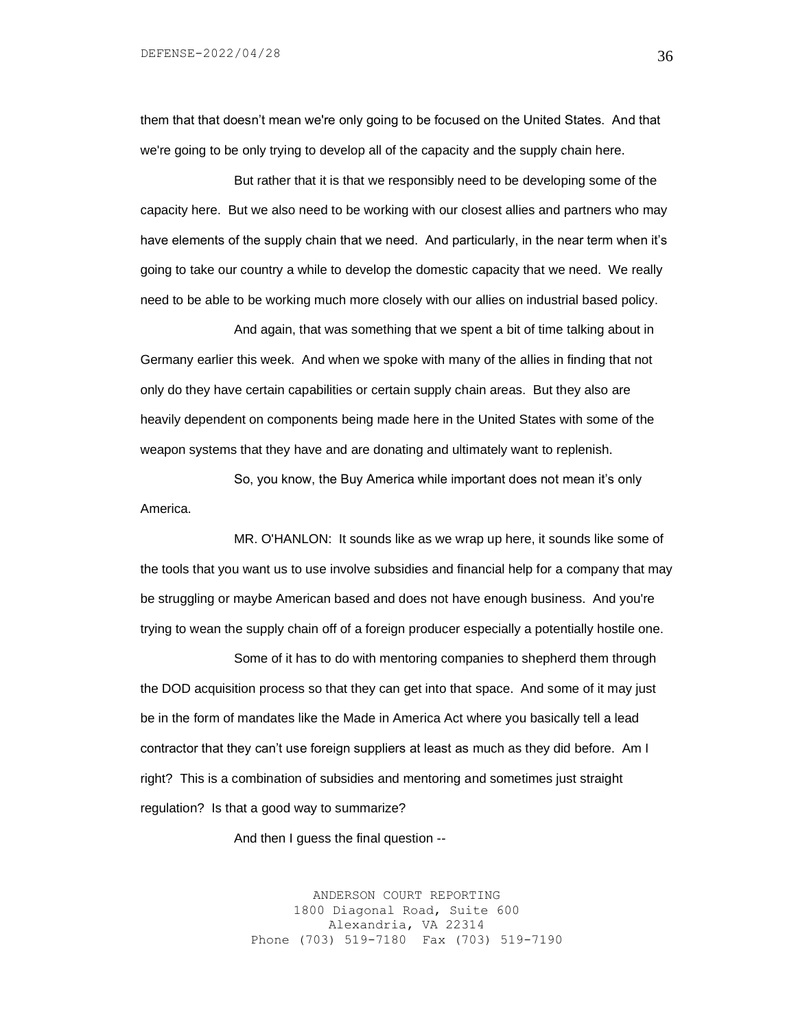them that that doesn't mean we're only going to be focused on the United States. And that we're going to be only trying to develop all of the capacity and the supply chain here.

But rather that it is that we responsibly need to be developing some of the capacity here. But we also need to be working with our closest allies and partners who may have elements of the supply chain that we need. And particularly, in the near term when it's going to take our country a while to develop the domestic capacity that we need. We really need to be able to be working much more closely with our allies on industrial based policy.

And again, that was something that we spent a bit of time talking about in Germany earlier this week. And when we spoke with many of the allies in finding that not only do they have certain capabilities or certain supply chain areas. But they also are heavily dependent on components being made here in the United States with some of the weapon systems that they have and are donating and ultimately want to replenish.

So, you know, the Buy America while important does not mean it's only America.

MR. O'HANLON: It sounds like as we wrap up here, it sounds like some of the tools that you want us to use involve subsidies and financial help for a company that may be struggling or maybe American based and does not have enough business. And you're trying to wean the supply chain off of a foreign producer especially a potentially hostile one.

Some of it has to do with mentoring companies to shepherd them through the DOD acquisition process so that they can get into that space. And some of it may just be in the form of mandates like the Made in America Act where you basically tell a lead contractor that they can't use foreign suppliers at least as much as they did before. Am I right? This is a combination of subsidies and mentoring and sometimes just straight regulation? Is that a good way to summarize?

And then I guess the final question --

ANDERSON COURT REPORTING 1800 Diagonal Road, Suite 600 Alexandria, VA 22314 Phone (703) 519-7180 Fax (703) 519-7190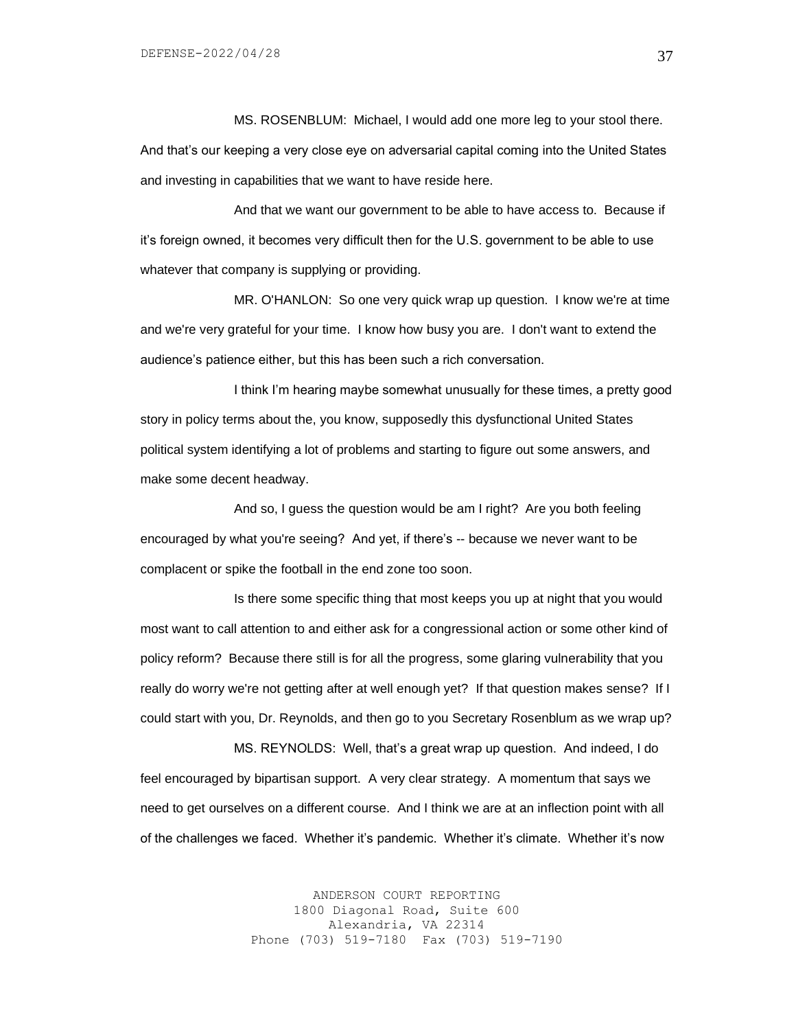MS. ROSENBLUM: Michael, I would add one more leg to your stool there. And that's our keeping a very close eye on adversarial capital coming into the United States and investing in capabilities that we want to have reside here.

And that we want our government to be able to have access to. Because if it's foreign owned, it becomes very difficult then for the U.S. government to be able to use whatever that company is supplying or providing.

MR. O'HANLON: So one very quick wrap up question. I know we're at time and we're very grateful for your time. I know how busy you are. I don't want to extend the audience's patience either, but this has been such a rich conversation.

I think I'm hearing maybe somewhat unusually for these times, a pretty good story in policy terms about the, you know, supposedly this dysfunctional United States political system identifying a lot of problems and starting to figure out some answers, and make some decent headway.

And so, I guess the question would be am I right? Are you both feeling encouraged by what you're seeing? And yet, if there's -- because we never want to be complacent or spike the football in the end zone too soon.

Is there some specific thing that most keeps you up at night that you would most want to call attention to and either ask for a congressional action or some other kind of policy reform? Because there still is for all the progress, some glaring vulnerability that you really do worry we're not getting after at well enough yet? If that question makes sense? If I could start with you, Dr. Reynolds, and then go to you Secretary Rosenblum as we wrap up?

MS. REYNOLDS: Well, that's a great wrap up question. And indeed, I do feel encouraged by bipartisan support. A very clear strategy. A momentum that says we need to get ourselves on a different course. And I think we are at an inflection point with all of the challenges we faced. Whether it's pandemic. Whether it's climate. Whether it's now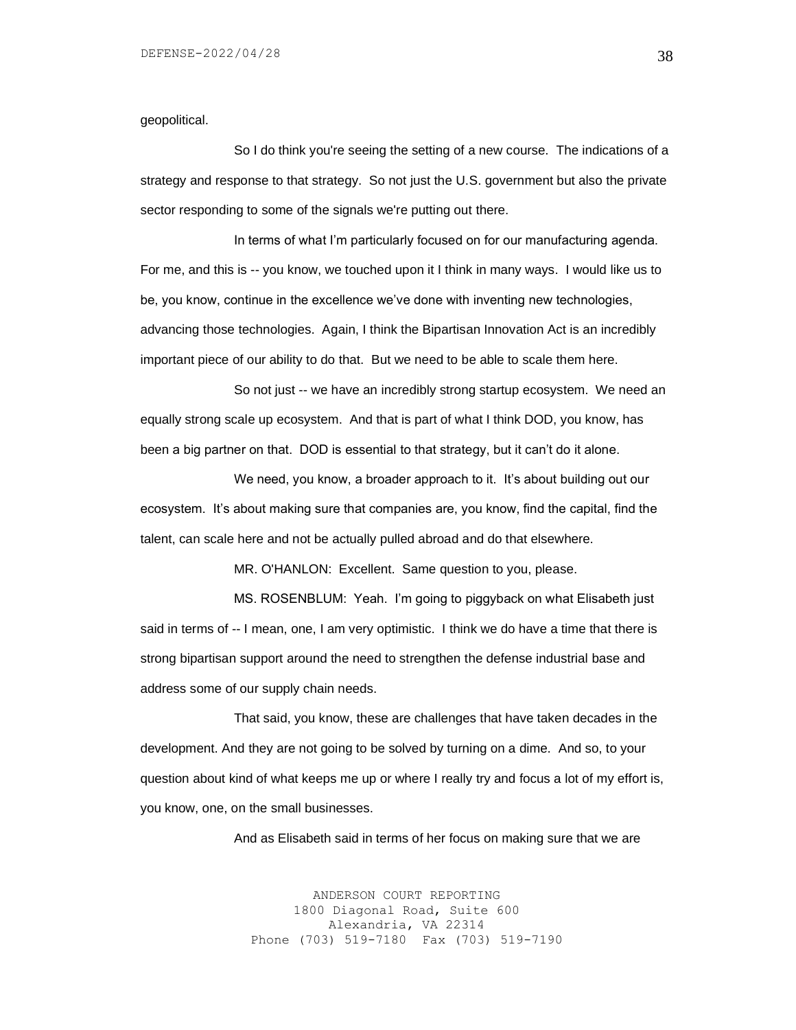geopolitical.

So I do think you're seeing the setting of a new course. The indications of a strategy and response to that strategy. So not just the U.S. government but also the private sector responding to some of the signals we're putting out there.

In terms of what I'm particularly focused on for our manufacturing agenda. For me, and this is -- you know, we touched upon it I think in many ways. I would like us to be, you know, continue in the excellence we've done with inventing new technologies, advancing those technologies. Again, I think the Bipartisan Innovation Act is an incredibly important piece of our ability to do that. But we need to be able to scale them here.

So not just -- we have an incredibly strong startup ecosystem. We need an equally strong scale up ecosystem. And that is part of what I think DOD, you know, has been a big partner on that. DOD is essential to that strategy, but it can't do it alone.

We need, you know, a broader approach to it. It's about building out our ecosystem. It's about making sure that companies are, you know, find the capital, find the talent, can scale here and not be actually pulled abroad and do that elsewhere.

MR. O'HANLON: Excellent. Same question to you, please.

MS. ROSENBLUM: Yeah. I'm going to piggyback on what Elisabeth just said in terms of -- I mean, one, I am very optimistic. I think we do have a time that there is strong bipartisan support around the need to strengthen the defense industrial base and address some of our supply chain needs.

That said, you know, these are challenges that have taken decades in the development. And they are not going to be solved by turning on a dime. And so, to your question about kind of what keeps me up or where I really try and focus a lot of my effort is, you know, one, on the small businesses.

And as Elisabeth said in terms of her focus on making sure that we are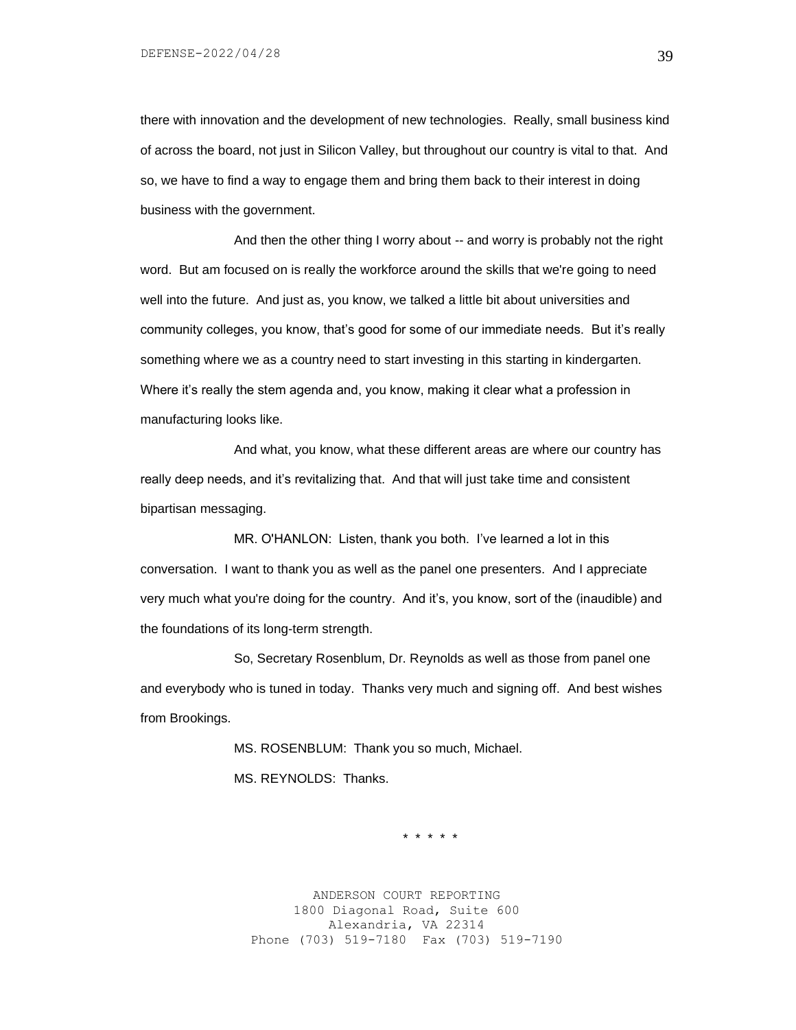DEFENSE-2022/04/28

there with innovation and the development of new technologies. Really, small business kind of across the board, not just in Silicon Valley, but throughout our country is vital to that. And so, we have to find a way to engage them and bring them back to their interest in doing business with the government.

And then the other thing I worry about -- and worry is probably not the right word. But am focused on is really the workforce around the skills that we're going to need well into the future. And just as, you know, we talked a little bit about universities and community colleges, you know, that's good for some of our immediate needs. But it's really something where we as a country need to start investing in this starting in kindergarten. Where it's really the stem agenda and, you know, making it clear what a profession in manufacturing looks like.

And what, you know, what these different areas are where our country has really deep needs, and it's revitalizing that. And that will just take time and consistent bipartisan messaging.

MR. O'HANLON: Listen, thank you both. I've learned a lot in this conversation. I want to thank you as well as the panel one presenters. And I appreciate very much what you're doing for the country. And it's, you know, sort of the (inaudible) and the foundations of its long-term strength.

So, Secretary Rosenblum, Dr. Reynolds as well as those from panel one and everybody who is tuned in today. Thanks very much and signing off. And best wishes from Brookings.

> MS. ROSENBLUM: Thank you so much, Michael. MS. REYNOLDS: Thanks.

> > \* \* \* \* \*

ANDERSON COURT REPORTING 1800 Diagonal Road, Suite 600 Alexandria, VA 22314 Phone (703) 519-7180 Fax (703) 519-7190